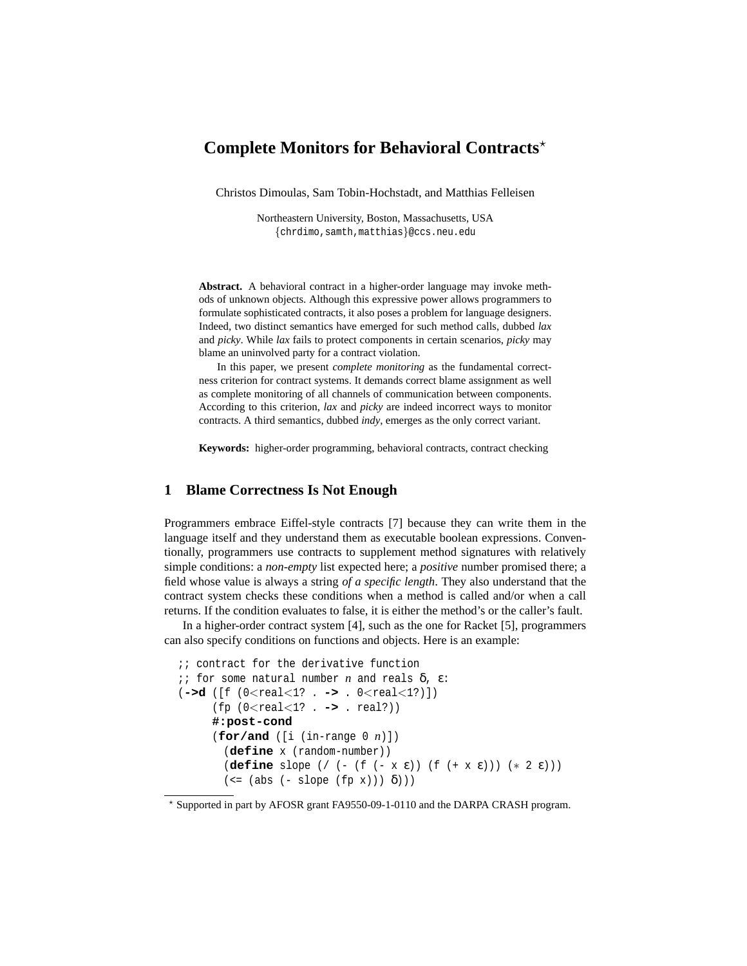## **Complete Monitors for Behavioral Contracts**<sup>⋆</sup>

Christos Dimoulas, Sam Tobin-Hochstadt, and Matthias Felleisen

Northeastern University, Boston, Massachusetts, USA {chrdimo,samth,matthias}@ccs.neu.edu

**Abstract.** A behavioral contract in a higher-order language may invoke methods of unknown objects. Although this expressive power allows programmers to formulate sophisticated contracts, it also poses a problem for language designers. Indeed, two distinct semantics have emerged for such method calls, dubbed *lax* and *picky*. While *lax* fails to protect components in certain scenarios, *picky* may blame an uninvolved party for a contract violation.

In this paper, we present *complete monitoring* as the fundamental correctness criterion for contract systems. It demands correct blame assignment as well as complete monitoring of all channels of communication between components. According to this criterion, *lax* and *picky* are indeed incorrect ways to monitor contracts. A third semantics, dubbed *indy*, emerges as the only correct variant.

**Keywords:** higher-order programming, behavioral contracts, contract checking

## **1 Blame Correctness Is Not Enough**

Programmers embrace Eiffel-style contracts [7] because they can write them in the language itself and they understand them as executable boolean expressions. Conventionally, programmers use contracts to supplement method signatures with relatively simple conditions: a *non-empty* list expected here; a *positive* number promised there; a field whose value is always a string *of a specific length*. They also understand that the contract system checks these conditions when a method is called and/or when a call returns. If the condition evaluates to false, it is either the method's or the caller's fault.

In a higher-order contract system [4], such as the one for Racket [5], programmers can also specify conditions on functions and objects. Here is an example:

```
i; contract for the derivative function
\cdots for some natural number n and reals \delta, ε:
(->d ([f (0<real<1? . -> . 0<real<1?)])
      (fp (0<real<1? . -> . real?))
     #:post-cond
      (for/and ([i (in-range 0 n)])
        (define x (random-number))
        (define slope (/ (- (f (- x ε)) (f (+ x ε))) (∗ 2 ε)))
        (\leq - \text{abs } (- \text{ slope } (fp x))) \delta)))
```
<sup>⋆</sup> Supported in part by AFOSR grant FA9550-09-1-0110 and the DARPA CRASH program.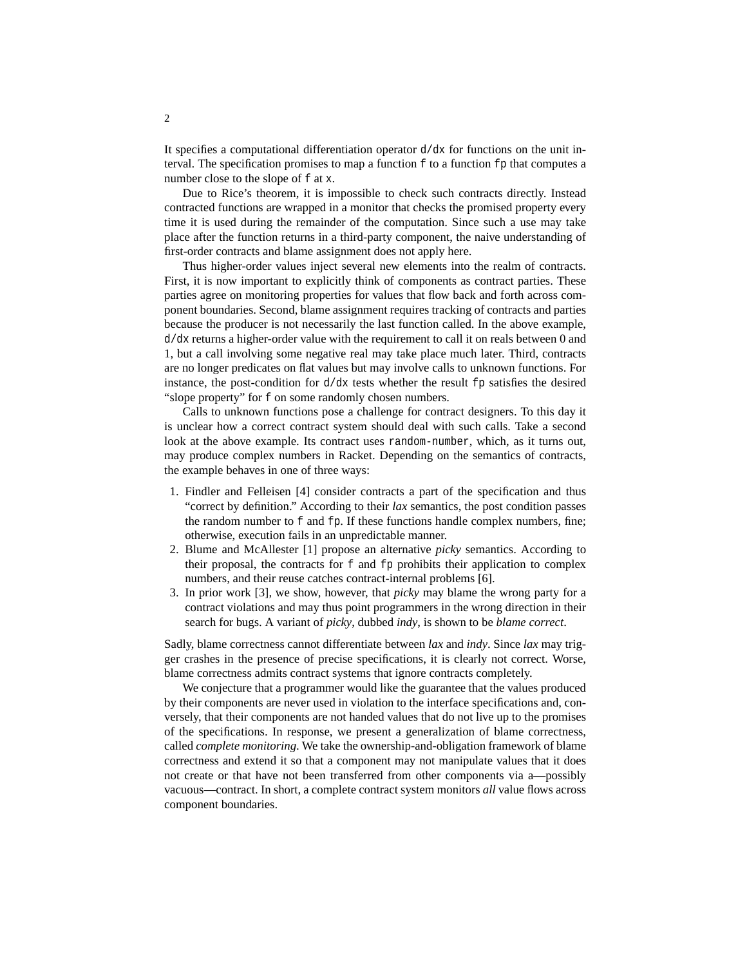It specifies a computational differentiation operator  $d/dx$  for functions on the unit interval. The specification promises to map a function f to a function fp that computes a number close to the slope of  $f$  at x.

Due to Rice's theorem, it is impossible to check such contracts directly. Instead contracted functions are wrapped in a monitor that checks the promised property every time it is used during the remainder of the computation. Since such a use may take place after the function returns in a third-party component, the naive understanding of first-order contracts and blame assignment does not apply here.

Thus higher-order values inject several new elements into the realm of contracts. First, it is now important to explicitly think of components as contract parties. These parties agree on monitoring properties for values that flow back and forth across component boundaries. Second, blame assignment requires tracking of contracts and parties because the producer is not necessarily the last function called. In the above example,  $d/dx$  returns a higher-order value with the requirement to call it on reals between 0 and 1, but a call involving some negative real may take place much later. Third, contracts are no longer predicates on flat values but may involve calls to unknown functions. For instance, the post-condition for  $d/dx$  tests whether the result fp satisfies the desired "slope property" for f on some randomly chosen numbers.

Calls to unknown functions pose a challenge for contract designers. To this day it is unclear how a correct contract system should deal with such calls. Take a second look at the above example. Its contract uses random-number, which, as it turns out, may produce complex numbers in Racket. Depending on the semantics of contracts, the example behaves in one of three ways:

- 1. Findler and Felleisen [4] consider contracts a part of the specification and thus "correct by definition." According to their *lax* semantics, the post condition passes the random number to f and fp. If these functions handle complex numbers, fine; otherwise, execution fails in an unpredictable manner.
- 2. Blume and McAllester [1] propose an alternative *picky* semantics. According to their proposal, the contracts for f and fp prohibits their application to complex numbers, and their reuse catches contract-internal problems [6].
- 3. In prior work [3], we show, however, that *picky* may blame the wrong party for a contract violations and may thus point programmers in the wrong direction in their search for bugs. A variant of *picky*, dubbed *indy*, is shown to be *blame correct*.

Sadly, blame correctness cannot differentiate between *lax* and *indy*. Since *lax* may trigger crashes in the presence of precise specifications, it is clearly not correct. Worse, blame correctness admits contract systems that ignore contracts completely.

We conjecture that a programmer would like the guarantee that the values produced by their components are never used in violation to the interface specifications and, conversely, that their components are not handed values that do not live up to the promises of the specifications. In response, we present a generalization of blame correctness, called *complete monitoring*. We take the ownership-and-obligation framework of blame correctness and extend it so that a component may not manipulate values that it does not create or that have not been transferred from other components via a—possibly vacuous—contract. In short, a complete contract system monitors *all* value flows across component boundaries.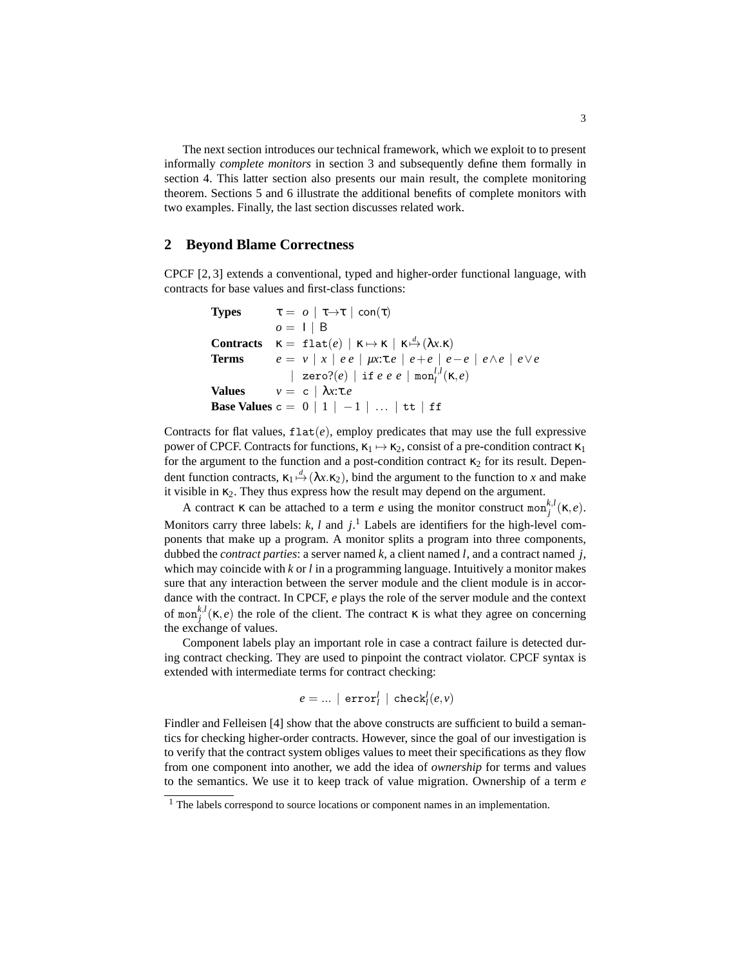The next section introduces our technical framework, which we exploit to to present informally *complete monitors* in section 3 and subsequently define them formally in section 4. This latter section also presents our main result, the complete monitoring theorem. Sections 5 and 6 illustrate the additional benefits of complete monitors with two examples. Finally, the last section discusses related work.

## **2 Beyond Blame Correctness**

CPCF [2, 3] extends a conventional, typed and higher-order functional language, with contracts for base values and first-class functions:

```
Types \tau = o \mid \tau \rightarrow \tau \mid \text{con}(\tau)\rho = \Box B
Contracts \kappa = \text{flat}(e) | \kappa \mapsto \kappa | \kappa \stackrel{d}{\mapsto} (\lambda x. \kappa)Terms e = v | x | e e | \mu x : \tau e | e + e | e - e | e \wedge e | e \vee e| zero?(e) | if e e e | mon<sup>l,l</sup></sup>(\kappa, e)Values v = c \mid \lambda x : \tau.eBase Values c = 0 | 1 | -1 | ... | tt | ff
```
Contracts for flat values,  $flat(e)$ , employ predicates that may use the full expressive power of CPCF. Contracts for functions,  $\kappa_1 \mapsto \kappa_2$ , consist of a pre-condition contract  $\kappa_1$ for the argument to the function and a post-condition contract  $\kappa_2$  for its result. Dependent function contracts,  $\kappa_1 \stackrel{d}{\rightarrow} (\lambda x.\kappa_2)$ , bind the argument to the function to *x* and make it visible in  $\kappa_2$ . They thus express how the result may depend on the argument.

A contract  $\kappa$  can be attached to a term *e* using the monitor construct mon<sup>k,*l*</sup> ( $\kappa$ , *e*). Monitors carry three labels:  $k$ ,  $l$  and  $j$ .<sup>1</sup> Labels are identifiers for the high-level components that make up a program. A monitor splits a program into three components, dubbed the *contract parties*: a server named *k*, a client named *l*, and a contract named *j*, which may coincide with *k* or *l* in a programming language. Intuitively a monitor makes sure that any interaction between the server module and the client module is in accordance with the contract. In CPCF, *e* plays the role of the server module and the context of mon $_{j}^{k,l}(\kappa, e)$  the role of the client. The contract  $\kappa$  is what they agree on concerning the exchange of values.

Component labels play an important role in case a contract failure is detected during contract checking. They are used to pinpoint the contract violator. CPCF syntax is extended with intermediate terms for contract checking:

 $e = ... \mid \text{error}_l^l \mid \text{check}_l^l(e, v)$ 

Findler and Felleisen [4] show that the above constructs are sufficient to build a semantics for checking higher-order contracts. However, since the goal of our investigation is to verify that the contract system obliges values to meet their specifications as they flow from one component into another, we add the idea of *ownership* for terms and values to the semantics. We use it to keep track of value migration. Ownership of a term *e*

<sup>&</sup>lt;sup>1</sup> The labels correspond to source locations or component names in an implementation.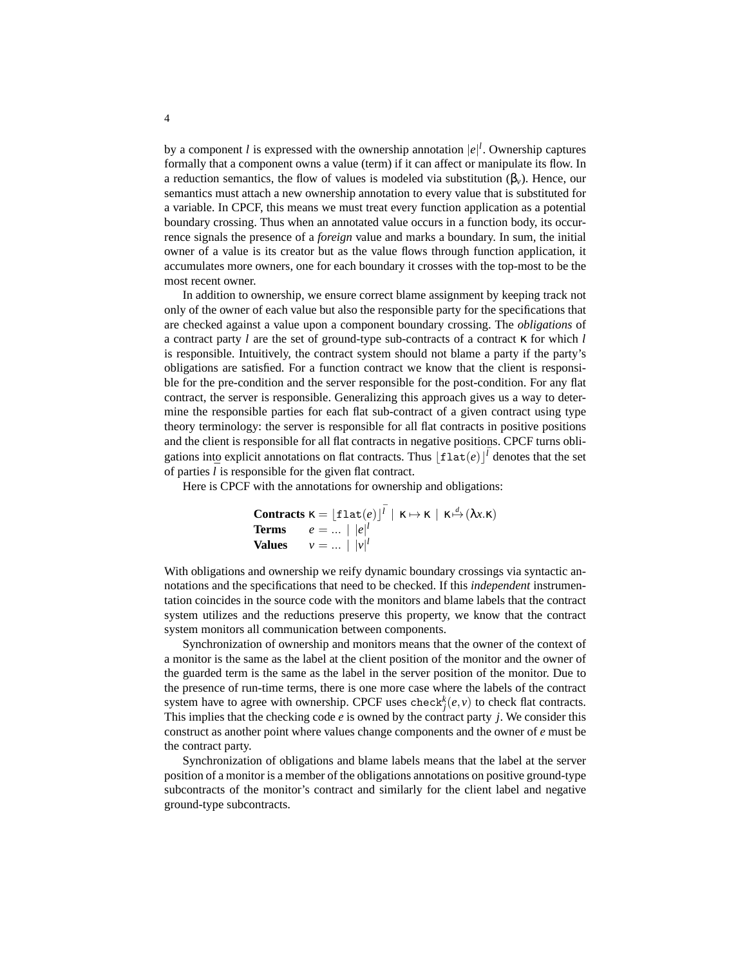by a component *l* is expressed with the ownership annotation  $|e|^l$ . Ownership captures formally that a component owns a value (term) if it can affect or manipulate its flow. In a reduction semantics, the flow of values is modeled via substitution (β*v*). Hence, our semantics must attach a new ownership annotation to every value that is substituted for a variable. In CPCF, this means we must treat every function application as a potential boundary crossing. Thus when an annotated value occurs in a function body, its occurrence signals the presence of a *foreign* value and marks a boundary. In sum, the initial owner of a value is its creator but as the value flows through function application, it accumulates more owners, one for each boundary it crosses with the top-most to be the most recent owner.

In addition to ownership, we ensure correct blame assignment by keeping track not only of the owner of each value but also the responsible party for the specifications that are checked against a value upon a component boundary crossing. The *obligations* of a contract party *l* are the set of ground-type sub-contracts of a contract κ for which *l* is responsible. Intuitively, the contract system should not blame a party if the party's obligations are satisfied. For a function contract we know that the client is responsible for the pre-condition and the server responsible for the post-condition. For any flat contract, the server is responsible. Generalizing this approach gives us a way to determine the responsible parties for each flat sub-contract of a given contract using type theory terminology: the server is responsible for all flat contracts in positive positions and the client is responsible for all flat contracts in negative positions. CPCF turns obligations into explicit annotations on flat contracts. Thus  $\left[\texttt{flat}(e)\right]^{\overline{l}}$  denotes that the set of parties  $\bar{l}$  is responsible for the given flat contract.

Here is CPCF with the annotations for ownership and obligations:

**Contracts** 
$$
\kappa = \lfloor \text{flat}(e) \rfloor^{\overline{l}} \mid \kappa \mapsto \kappa \mid \kappa \xrightarrow{d} (\lambda x. \kappa)
$$
  
\n**Terms**  $e = ... \mid |e|^l$   
\n**Values**  $v = ... \mid |v|^l$ 

With obligations and ownership we reify dynamic boundary crossings via syntactic annotations and the specifications that need to be checked. If this *independent* instrumentation coincides in the source code with the monitors and blame labels that the contract system utilizes and the reductions preserve this property, we know that the contract system monitors all communication between components.

Synchronization of ownership and monitors means that the owner of the context of a monitor is the same as the label at the client position of the monitor and the owner of the guarded term is the same as the label in the server position of the monitor. Due to the presence of run-time terms, there is one more case where the labels of the contract system have to agree with ownership. CPCF uses check $k_j^k(e, v)$  to check flat contracts. This implies that the checking code *e* is owned by the contract party *j*. We consider this construct as another point where values change components and the owner of *e* must be the contract party.

Synchronization of obligations and blame labels means that the label at the server position of a monitor is a member of the obligations annotations on positive ground-type subcontracts of the monitor's contract and similarly for the client label and negative ground-type subcontracts.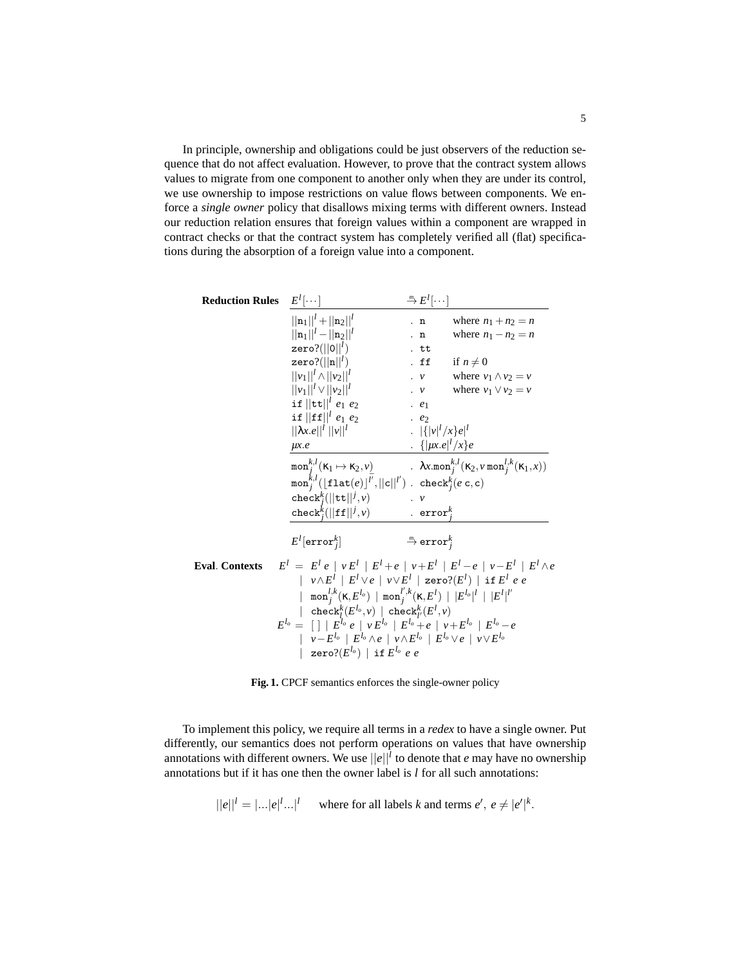In principle, ownership and obligations could be just observers of the reduction sequence that do not affect evaluation. However, to prove that the contract system allows values to migrate from one component to another only when they are under its control, we use ownership to impose restrictions on value flows between components. We enforce a *single owner* policy that disallows mixing terms with different owners. Instead our reduction relation ensures that foreign values within a component are wrapped in contract checks or that the contract system has completely verified all (flat) specifications during the absorption of a foreign value into a component.

| <b>Reduction Rules</b> | $E^l[\cdots]$                                                                                                                                                                                                                                                   | $\stackrel{m}{\rightarrow} E^l[\cdots]$ |                                                                               |  |
|------------------------|-----------------------------------------------------------------------------------------------------------------------------------------------------------------------------------------------------------------------------------------------------------------|-----------------------------------------|-------------------------------------------------------------------------------|--|
|                        | $  \mathbf{n}_1  ^l +   \mathbf{n}_2  ^l$                                                                                                                                                                                                                       | . n                                     | where $n_1 + n_2 = n$                                                         |  |
|                        | $  \mathbf{n}_1  ^l -   \mathbf{n}_2  ^l$                                                                                                                                                                                                                       | . n                                     | where $n_1 - n_2 = n$                                                         |  |
|                        | zero? $(  0  ^l)$                                                                                                                                                                                                                                               | . tt                                    |                                                                               |  |
|                        | zero? $(  n  ^l)$                                                                                                                                                                                                                                               | . ff                                    | if $n \neq 0$                                                                 |  |
|                        | $  v_1  ^l \wedge   v_2  ^l$                                                                                                                                                                                                                                    | . $\nu$                                 | where $v_1 \wedge v_2 = v$                                                    |  |
|                        | $  v_1  ^l \vee   v_2  ^l$                                                                                                                                                                                                                                      | $\cdot$ $\nu$                           | where $v_1 \vee v_2 = v$                                                      |  |
|                        | if $  \mathsf{tt}  ^l$ $e_1$ $e_2$                                                                                                                                                                                                                              | $\cdot$ $e_1$                           |                                                                               |  |
|                        | if $  {\bf ff}  ^l e_1 e_2$                                                                                                                                                                                                                                     | $-e2$                                   |                                                                               |  |
|                        | $  \lambda x.e  ^l   y  ^l$                                                                                                                                                                                                                                     | . $ \{ v ^l/x\}e ^l$                    |                                                                               |  |
|                        | $\mu x.e$                                                                                                                                                                                                                                                       | . { $ \mu x.e ^{l}/x$ } e               |                                                                               |  |
|                        | mon <sup>k,l</sup> $(\kappa_1 \mapsto \kappa_2, \nu)$                                                                                                                                                                                                           |                                         | $\lambda x \text{.mon}_i^{k,l}(\kappa_2, v \text{ mon}_i^{l,k}(\kappa_1, x))$ |  |
|                        | $\text{mon}_i^{k,l}(\lfloor \texttt{flat}(e)\rfloor^{\bar{l}^l},  \texttt{c}  ^{l^{\prime}})$ . check $i^{\bar{k}}(e \texttt{c}, \texttt{c})$                                                                                                                   |                                         |                                                                               |  |
|                        | check <sup>k</sup> <sub>i</sub> (  tt   $j, v$ )                                                                                                                                                                                                                | $\cdot$ $\cdot$ $\cdot$                 |                                                                               |  |
|                        | $\mathsf{check}_i^k(  \mathbf{ff}  ^j, v)$ . $\mathsf{error}_i^k$                                                                                                                                                                                               |                                         |                                                                               |  |
|                        |                                                                                                                                                                                                                                                                 |                                         |                                                                               |  |
|                        | $E^l[error^k_j]$                                                                                                                                                                                                                                                | $xrightarrow{m}$ error $x_i^k$          |                                                                               |  |
| <b>Eval. Contexts</b>  | $E^{l} = E^{l} e   v E^{l}   E^{l} + e   v + E^{l}   E^{l} - e   v - E^{l}   E^{l} \wedge e$                                                                                                                                                                    |                                         |                                                                               |  |
|                        | $ v \wedge E^{l}   E^{l} \vee e   v \vee E^{l}  $ zero? $(E^{l})$   if $E^{l}$ e e                                                                                                                                                                              |                                         |                                                                               |  |
|                        | $ \mod_{i}^{l,k}(\kappa,E^{l_o}) $ mon $\binom{l',k}{k}(K,E^l)   E^{l_o} ^l    E^l ^l^l$                                                                                                                                                                        |                                         |                                                                               |  |
|                        | check ${}_{l}^{k}(E^{l_{o}},\nu)$   check ${}_{l'}^{k}(E^{l},\nu)$<br>$E^{l_o} = \Box \Box E^{l_o} e \Box v E^{l_o} \Box E^{l_o} + e \Box v + E^{l_o} \Box E^{l_o} - e$<br>$ v-E^{l_o}   E^{l_o} \wedge e   v \wedge E^{l_o}   E^{l_o} \vee e   v \vee E^{l_o}$ |                                         |                                                                               |  |
|                        |                                                                                                                                                                                                                                                                 |                                         |                                                                               |  |
|                        |                                                                                                                                                                                                                                                                 |                                         |                                                                               |  |
|                        | zero $? (E^{l_o})$   if $E^{l_o}$ e e                                                                                                                                                                                                                           |                                         |                                                                               |  |

**Fig. 1.** CPCF semantics enforces the single-owner policy

To implement this policy, we require all terms in a *redex* to have a single owner. Put differently, our semantics does not perform operations on values that have ownership annotations with different owners. We use ||*e*||*<sup>l</sup>* to denote that *e* may have no ownership annotations but if it has one then the owner label is *l* for all such annotations:

$$
||e||^l = |...|e|^l...|^l \quad \text{where for all labels } k \text{ and terms } e', e \neq |e'|^k.
$$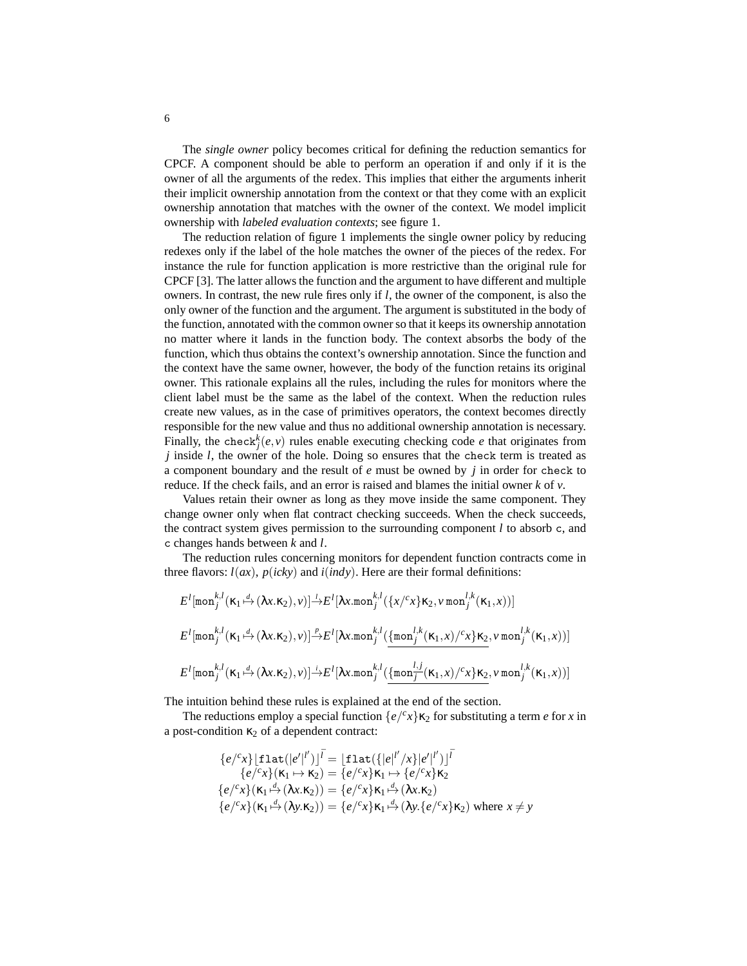The *single owner* policy becomes critical for defining the reduction semantics for CPCF. A component should be able to perform an operation if and only if it is the owner of all the arguments of the redex. This implies that either the arguments inherit their implicit ownership annotation from the context or that they come with an explicit ownership annotation that matches with the owner of the context. We model implicit ownership with *labeled evaluation contexts*; see figure 1.

The reduction relation of figure 1 implements the single owner policy by reducing redexes only if the label of the hole matches the owner of the pieces of the redex. For instance the rule for function application is more restrictive than the original rule for CPCF [3]. The latter allows the function and the argument to have different and multiple owners. In contrast, the new rule fires only if *l*, the owner of the component, is also the only owner of the function and the argument. The argument is substituted in the body of the function, annotated with the common owner so that it keeps its ownership annotation no matter where it lands in the function body. The context absorbs the body of the function, which thus obtains the context's ownership annotation. Since the function and the context have the same owner, however, the body of the function retains its original owner. This rationale explains all the rules, including the rules for monitors where the client label must be the same as the label of the context. When the reduction rules create new values, as in the case of primitives operators, the context becomes directly responsible for the new value and thus no additional ownership annotation is necessary. Finally, the check $k_j^k(e, v)$  rules enable executing checking code *e* that originates from *j* inside *l*, the owner of the hole. Doing so ensures that the check term is treated as a component boundary and the result of *e* must be owned by *j* in order for check to reduce. If the check fails, and an error is raised and blames the initial owner *k* of *v*.

Values retain their owner as long as they move inside the same component. They change owner only when flat contract checking succeeds. When the check succeeds, the contract system gives permission to the surrounding component *l* to absorb c, and c changes hands between *k* and *l*.

The reduction rules concerning monitors for dependent function contracts come in three flavors:  $l(ax)$ ,  $p(icky)$  and  $i(indy)$ . Here are their formal definitions:

$$
E^{l}[\text{mon}_{j}^{k,l}(\kappa_{1} \xrightarrow{d} (\lambda x. \kappa_{2}), v)] \xrightarrow{l} E^{l}[\lambda x. \text{mon}_{j}^{k,l}(\lbrace x/c_{x} \rbrace \kappa_{2}, v \text{ mon}_{j}^{l,k}(\kappa_{1}, x))]
$$
  

$$
E^{l}[\text{mon}_{j}^{k,l}(\kappa_{1} \xrightarrow{d} (\lambda x. \kappa_{2}), v)] \xrightarrow{P} E^{l}[\lambda x. \text{mon}_{j}^{k,l}(\frac{\lbrace \text{mon}_{j}^{l,k}(\kappa_{1}, x)/c_{x} \rbrace \kappa_{2}, v \text{ mon}_{j}^{l,k}(\kappa_{1}, x))]
$$
  

$$
E^{l}[\text{mon}_{j}^{k,l}(\kappa_{1} \xrightarrow{d} (\lambda x. \kappa_{2}), v)] \xrightarrow{l} E^{l}[\lambda x. \text{mon}_{j}^{k,l}(\frac{\lbrace \text{mon}_{j}^{l,j}(\kappa_{1}, x)/c_{x} \rbrace \kappa_{2}, v \text{ mon}_{j}^{l,k}(\kappa_{1}, x))]
$$

The intuition behind these rules is explained at the end of the section.

The reductions employ a special function  $\{e^{f(x)}\}\kappa_2$  for substituting a term *e* for *x* in a post-condition  $\kappa_2$  of a dependent contract:

$$
\{e^{c}x\}\left[\text{flat}(|e^{c}|^{l'})\right]^{\bar{l}} = \left[\text{flat}(\{|e|^{l'}/x\}|e^{c}|^{l'})\right]^{\bar{l}} \{e^{c}x\}\left(\kappa_1 \mapsto \kappa_2\right) = \{e^{c}x\}\kappa_1 \mapsto \{e^{c}x\}\kappa_2 \{e^{c}x\}\left(\kappa_1 \stackrel{d}{\rightarrow} (\lambda x.\kappa_2)\right) = \{e^{c}x\}\kappa_1 \stackrel{d}{\rightarrow} (\lambda x.\kappa_2) \{e^{c}x\}\left(\kappa_1 \stackrel{d}{\rightarrow} (\lambda y.\kappa_2)\right) = \{e^{c}x\}\kappa_1 \stackrel{d}{\rightarrow} (\lambda y.\{e^{c}x\}\kappa_2) \text{ where } x \neq y
$$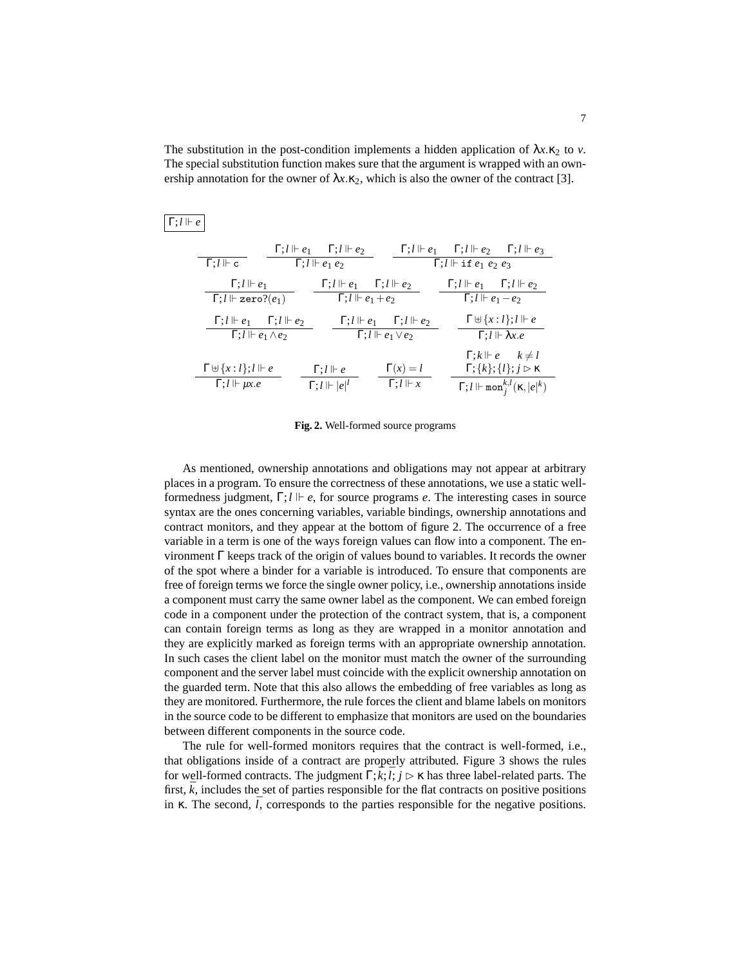The substitution in the post-condition implements a hidden application of  $\lambda x.\kappa_2$  to *v*. The special substitution function makes sure that the argument is wrapped with an ownership annotation for the owner of  $\lambda x.\kappa_2$ , which is also the owner of the contract [3].

Γ;*l e*

| $\Gamma$ : $l \Vdash c$                                                                     | $\Gamma$ : $l \Vdash e_1$ $\Gamma$ : $l \Vdash e_2$<br>$\Gamma$ : $l \Vdash e_1 e_2$ |                                                                                           | $\Gamma$ ; $l \Vdash e_1$ $\Gamma$ ; $l \Vdash e_2$ $\Gamma$ ; $l \Vdash e_3$<br>$\Gamma$ ; $l \Vdash$ if $e_1$ $e_2$ $e_3$ |                                                                                                                                                        |
|---------------------------------------------------------------------------------------------|--------------------------------------------------------------------------------------|-------------------------------------------------------------------------------------------|-----------------------------------------------------------------------------------------------------------------------------|--------------------------------------------------------------------------------------------------------------------------------------------------------|
| $\Gamma$ : $l \Vdash e_1$<br>$\Gamma$ ; $l \Vdash$ zero? $(e_1)$                            |                                                                                      | $\Gamma$ : $l \Vdash e_1$ $\Gamma$ : $l \Vdash e_2$<br>$\Gamma$ : $l \Vdash e_1 + e_2$    | $\Gamma$ : $l \Vdash e_1$ $\Gamma$ : $l \Vdash e_2$<br>$\Gamma$ : $l \Vdash e_1 - e_2$                                      |                                                                                                                                                        |
| $\Gamma$ ; $l \Vdash e_1$ $\Gamma$ ; $l \Vdash e_2$<br>$\Gamma$ : $l \Vdash e_1 \wedge e_2$ |                                                                                      | $\Gamma$ : $l \Vdash e_1$ $\Gamma$ : $l \Vdash e_2$<br>$\Gamma$ : $l \Vdash e_1 \vee e_2$ |                                                                                                                             | $\Gamma \uplus \{x: l\}; l \Vdash e$<br>$\Gamma$ : $l \Vdash \lambda x.e$                                                                              |
| $\Gamma \uplus \{x: l\}; l \Vdash e$<br>$\Gamma$ ; $l \Vdash \mu x.e$                       | $\Gamma$ : $l \Vdash e$<br>$\Gamma$ ; $l \Vdash  e ^l$                               | $\Gamma(x) = l$<br>$\Gamma; l \Vdash x$                                                   |                                                                                                                             | $\Gamma: k \Vdash e \quad k \neq l$<br>$\Gamma$ ; { $k$ }; { $l$ }; $j \triangleright \kappa$<br>$\Gamma; l \Vdash \mathtt{mon}^{k,l}_j(\kappa, e ^k)$ |

**Fig. 2.** Well-formed source programs

As mentioned, ownership annotations and obligations may not appear at arbitrary places in a program. To ensure the correctness of these annotations, we use a static wellformedness judgment,  $\Gamma$ ;  $l \Vdash e$ , for source programs *e*. The interesting cases in source syntax are the ones concerning variables, variable bindings, ownership annotations and contract monitors, and they appear at the bottom of figure 2. The occurrence of a free variable in a term is one of the ways foreign values can flow into a component. The environment Γ keeps track of the origin of values bound to variables. It records the owner of the spot where a binder for a variable is introduced. To ensure that components are free of foreign terms we force the single owner policy, i.e., ownership annotations inside a component must carry the same owner label as the component. We can embed foreign code in a component under the protection of the contract system, that is, a component can contain foreign terms as long as they are wrapped in a monitor annotation and they are explicitly marked as foreign terms with an appropriate ownership annotation. In such cases the client label on the monitor must match the owner of the surrounding component and the server label must coincide with the explicit ownership annotation on the guarded term. Note that this also allows the embedding of free variables as long as they are monitored. Furthermore, the rule forces the client and blame labels on monitors in the source code to be different to emphasize that monitors are used on the boundaries between different components in the source code.

The rule for well-formed monitors requires that the contract is well-formed, i.e., that obligations inside of a contract are properly attributed. Figure 3 shows the rules for well-formed contracts. The judgment  $\Gamma$ ;  $\bar{k}$ ;  $\bar{l}$ ;  $j \triangleright \kappa$  has three label-related parts. The first,  $\bar{k}$ , includes the set of parties responsible for the flat contracts on positive positions in κ. The second,  $\bar{l}$ , corresponds to the parties responsible for the negative positions.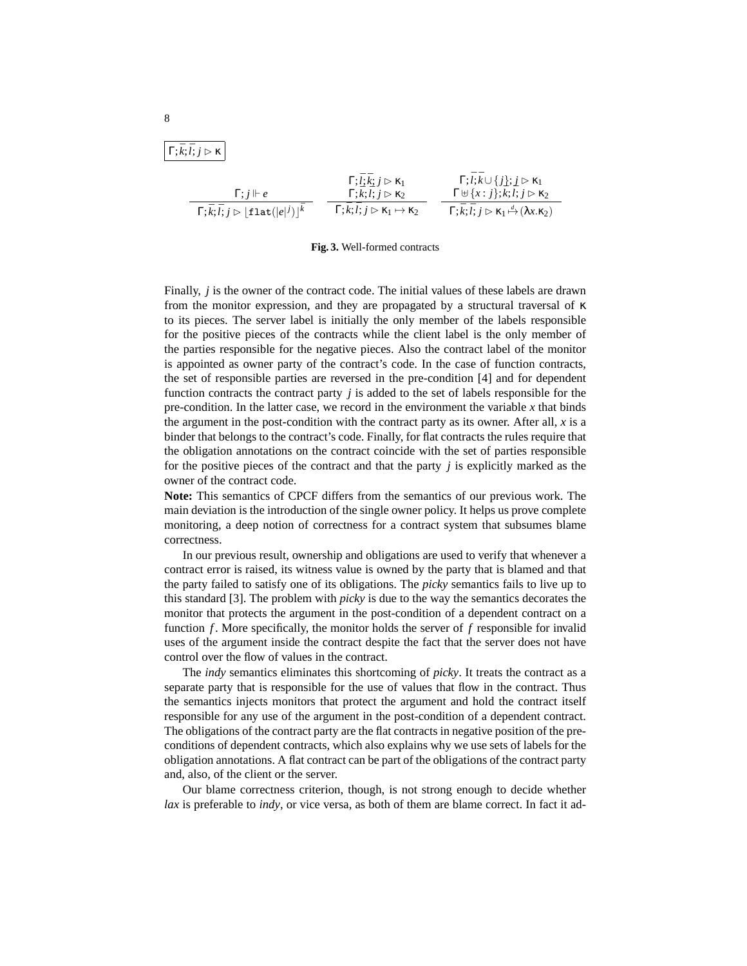# $\Gamma; \bar{k}; \bar{l}; j > \kappa$

|                                                                   | $\Gamma;\bar{l};\bar{k};j\rhd \kappa_1$                                | $\Gamma;\bar{l};\bar{k}\cup\{j\};j\rhd\kappa_1$                                                   |
|-------------------------------------------------------------------|------------------------------------------------------------------------|---------------------------------------------------------------------------------------------------|
| $\Gamma$ : $i \Vdash e$                                           | $\Gamma; k; l; j \triangleright \kappa_2$                              | $\Gamma \uplus \{x : j\}; \bar{k}; \bar{l}; j \triangleright \kappa_2$                            |
| $\Gamma; \bar{k} ; \bar{l} ; j \rhd  \mathtt{flat}( e ^{j}) ^{k}$ | $\Gamma; \bar{k}; \bar{l}; j \triangleright \kappa_1 \mapsto \kappa_2$ | $\Gamma; \bar{k}; \bar{l}; j \triangleright \kappa_1 \stackrel{d}{\mapsto} (\lambda x. \kappa_2)$ |

**Fig. 3.** Well-formed contracts

Finally, *j* is the owner of the contract code. The initial values of these labels are drawn from the monitor expression, and they are propagated by a structural traversal of  $\kappa$ to its pieces. The server label is initially the only member of the labels responsible for the positive pieces of the contracts while the client label is the only member of the parties responsible for the negative pieces. Also the contract label of the monitor is appointed as owner party of the contract's code. In the case of function contracts, the set of responsible parties are reversed in the pre-condition [4] and for dependent function contracts the contract party *j* is added to the set of labels responsible for the pre-condition. In the latter case, we record in the environment the variable  $x$  that binds the argument in the post-condition with the contract party as its owner. After all,  $x$  is a binder that belongs to the contract's code. Finally, for flat contracts the rules require that the obligation annotations on the contract coincide with the set of parties responsible for the positive pieces of the contract and that the party *j* is explicitly marked as the owner of the contract code.

**Note:** This semantics of CPCF differs from the semantics of our previous work. The main deviation is the introduction of the single owner policy. It helps us prove complete monitoring, a deep notion of correctness for a contract system that subsumes blame correctness.

In our previous result, ownership and obligations are used to verify that whenever a contract error is raised, its witness value is owned by the party that is blamed and that the party failed to satisfy one of its obligations. The *picky* semantics fails to live up to this standard [3]. The problem with *picky* is due to the way the semantics decorates the monitor that protects the argument in the post-condition of a dependent contract on a function *f* . More specifically, the monitor holds the server of *f* responsible for invalid uses of the argument inside the contract despite the fact that the server does not have control over the flow of values in the contract.

The *indy* semantics eliminates this shortcoming of *picky*. It treats the contract as a separate party that is responsible for the use of values that flow in the contract. Thus the semantics injects monitors that protect the argument and hold the contract itself responsible for any use of the argument in the post-condition of a dependent contract. The obligations of the contract party are the flat contracts in negative position of the preconditions of dependent contracts, which also explains why we use sets of labels for the obligation annotations. A flat contract can be part of the obligations of the contract party and, also, of the client or the server.

Our blame correctness criterion, though, is not strong enough to decide whether *lax* is preferable to *indy*, or vice versa, as both of them are blame correct. In fact it ad-

8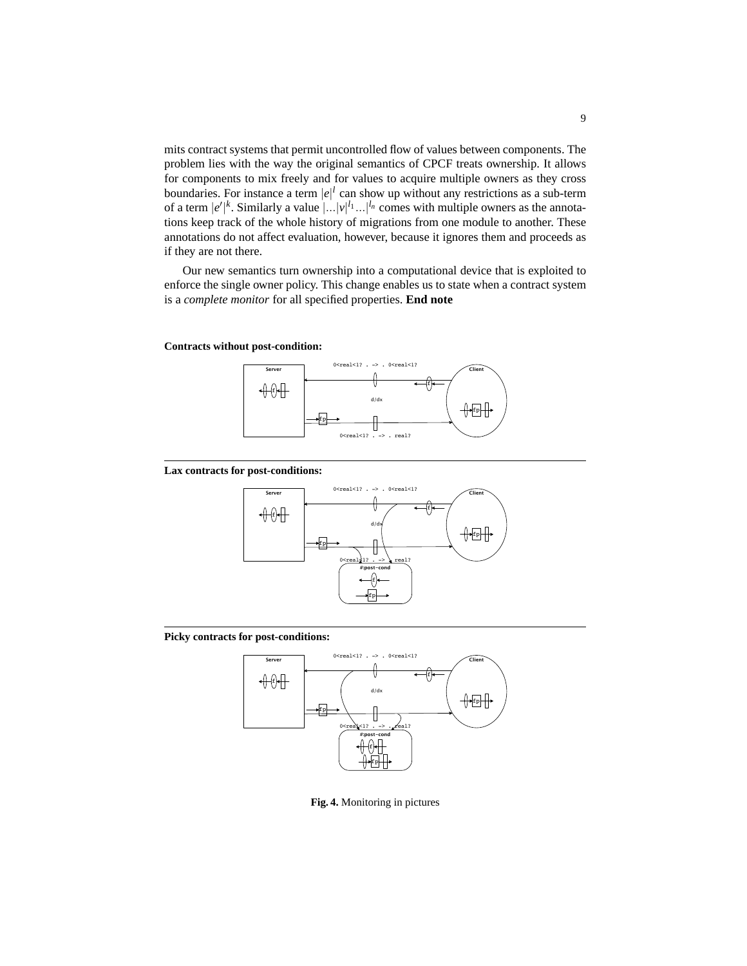mits contract systems that permit uncontrolled flow of values between components. The problem lies with the way the original semantics of CPCF treats ownership. It allows for components to mix freely and for values to acquire multiple owners as they cross boundaries. For instance a term  $|e|^l$  can show up without any restrictions as a sub-term of a term  $|e'|^k$ . Similarly a value  $|...|v|^{l_1}...|^{l_n}$  comes with multiple owners as the annotations keep track of the whole history of migrations from one module to another. These annotations do not affect evaluation, however, because it ignores them and proceeds as if they are not there.

Our new semantics turn ownership into a computational device that is exploited to enforce the single owner policy. This change enables us to state when a contract system is a *complete monitor* for all specified properties. **End note**

#### **Contracts without post-condition:**



#### **Lax contracts for post-conditions:**



#### **Picky contracts for post-conditions:**



**Fig. 4.** Monitoring in pictures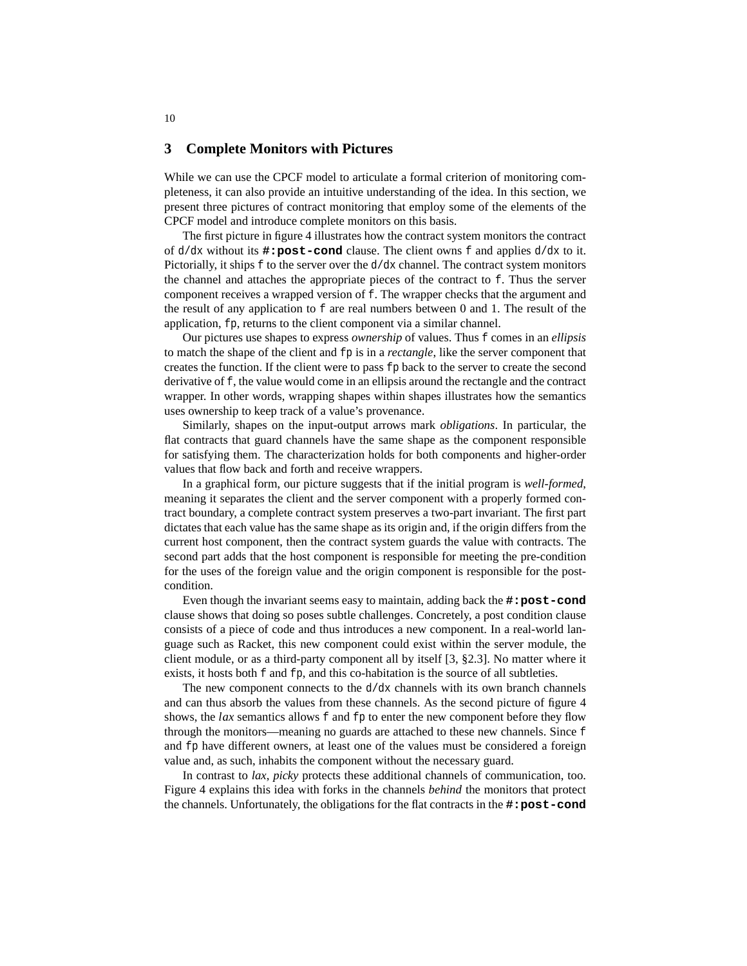## **3 Complete Monitors with Pictures**

While we can use the CPCF model to articulate a formal criterion of monitoring completeness, it can also provide an intuitive understanding of the idea. In this section, we present three pictures of contract monitoring that employ some of the elements of the CPCF model and introduce complete monitors on this basis.

The first picture in figure 4 illustrates how the contract system monitors the contract of  $d/dx$  without its **#: post-cond** clause. The client owns f and applies  $d/dx$  to it. Pictorially, it ships f to the server over the  $d/dx$  channel. The contract system monitors the channel and attaches the appropriate pieces of the contract to f. Thus the server component receives a wrapped version of f. The wrapper checks that the argument and the result of any application to f are real numbers between 0 and 1. The result of the application, fp, returns to the client component via a similar channel.

Our pictures use shapes to express *ownership* of values. Thus f comes in an *ellipsis* to match the shape of the client and fp is in a *rectangle*, like the server component that creates the function. If the client were to pass fp back to the server to create the second derivative of f, the value would come in an ellipsis around the rectangle and the contract wrapper. In other words, wrapping shapes within shapes illustrates how the semantics uses ownership to keep track of a value's provenance.

Similarly, shapes on the input-output arrows mark *obligations*. In particular, the flat contracts that guard channels have the same shape as the component responsible for satisfying them. The characterization holds for both components and higher-order values that flow back and forth and receive wrappers.

In a graphical form, our picture suggests that if the initial program is *well-formed*, meaning it separates the client and the server component with a properly formed contract boundary, a complete contract system preserves a two-part invariant. The first part dictates that each value has the same shape as its origin and, if the origin differs from the current host component, then the contract system guards the value with contracts. The second part adds that the host component is responsible for meeting the pre-condition for the uses of the foreign value and the origin component is responsible for the postcondition.

Even though the invariant seems easy to maintain, adding back the **#:post-cond** clause shows that doing so poses subtle challenges. Concretely, a post condition clause consists of a piece of code and thus introduces a new component. In a real-world language such as Racket, this new component could exist within the server module, the client module, or as a third-party component all by itself [3, §2.3]. No matter where it exists, it hosts both f and fp, and this co-habitation is the source of all subtleties.

The new component connects to the  $d/dx$  channels with its own branch channels and can thus absorb the values from these channels. As the second picture of figure 4 shows, the *lax* semantics allows f and fp to enter the new component before they flow through the monitors—meaning no guards are attached to these new channels. Since f and fp have different owners, at least one of the values must be considered a foreign value and, as such, inhabits the component without the necessary guard.

In contrast to *lax*, *picky* protects these additional channels of communication, too. Figure 4 explains this idea with forks in the channels *behind* the monitors that protect the channels. Unfortunately, the obligations for the flat contracts in the **#:post-cond**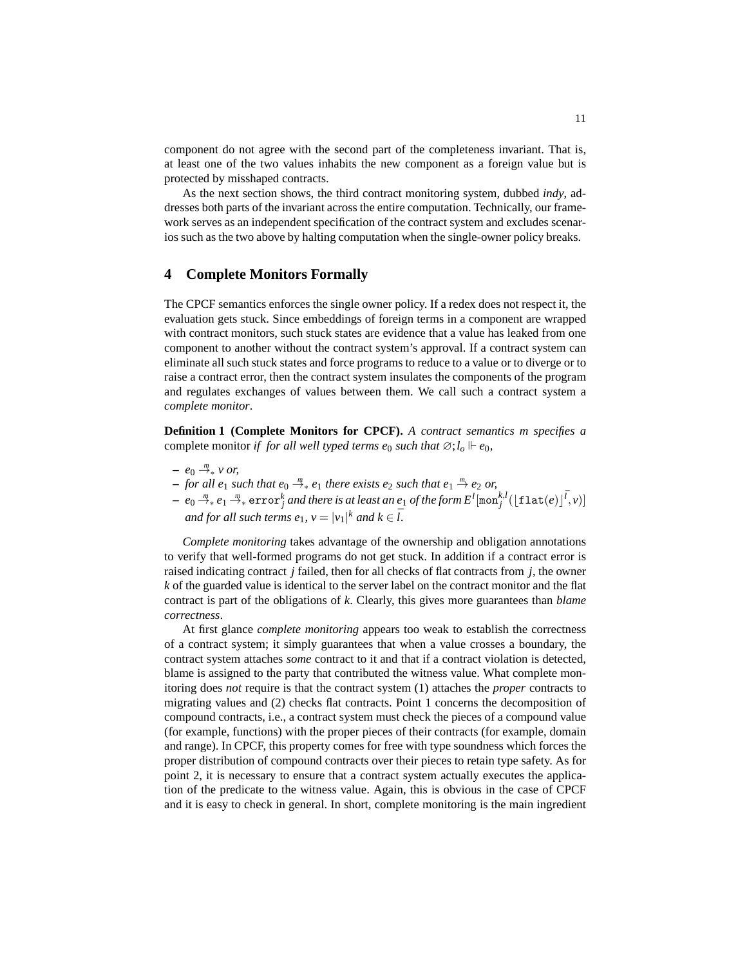component do not agree with the second part of the completeness invariant. That is, at least one of the two values inhabits the new component as a foreign value but is protected by misshaped contracts.

As the next section shows, the third contract monitoring system, dubbed *indy*, addresses both parts of the invariant across the entire computation. Technically, our framework serves as an independent specification of the contract system and excludes scenarios such as the two above by halting computation when the single-owner policy breaks.

## **4 Complete Monitors Formally**

The CPCF semantics enforces the single owner policy. If a redex does not respect it, the evaluation gets stuck. Since embeddings of foreign terms in a component are wrapped with contract monitors, such stuck states are evidence that a value has leaked from one component to another without the contract system's approval. If a contract system can eliminate all such stuck states and force programs to reduce to a value or to diverge or to raise a contract error, then the contract system insulates the components of the program and regulates exchanges of values between them. We call such a contract system a *complete monitor*.

**Definition 1 (Complete Monitors for CPCF).** *A contract semantics m specifies a* complete monitor *if for all well typed terms e*<sub>0</sub> *such that*  $\emptyset$ ;  $l_o \Vdash e_0$ ,

- **–** *e*<sup>0</sup> →*<sup>m</sup>* <sup>∗</sup> *v or,*
- $-$  *for all e*<sub>1</sub> *such that e*<sub>0</sub>  $\stackrel{m}{\rightarrow}$  *e*<sub>1</sub> *there exists e*<sub>2</sub> *such that e*<sub>1</sub>  $\stackrel{m}{\rightarrow}$  *e*<sub>2</sub> *or*,
- $e_0 \stackrel{m}{\to}_* e_1 \stackrel{m}{\to}_* \texttt{error}_j^k$  and there is at least an  $e_1$  of the form  $E^l[\texttt{mon}_j^{k,l}(\lfloor \texttt{flat}(e)\rfloor^{\bar{l}},\nu)]$

*and for all such terms e*<sub>1</sub>,  $v = |v_1|^k$  *and*  $k \in \overline{l}$ .

*Complete monitoring* takes advantage of the ownership and obligation annotations to verify that well-formed programs do not get stuck. In addition if a contract error is raised indicating contract *j* failed, then for all checks of flat contracts from *j*, the owner *k* of the guarded value is identical to the server label on the contract monitor and the flat contract is part of the obligations of *k*. Clearly, this gives more guarantees than *blame correctness*.

At first glance *complete monitoring* appears too weak to establish the correctness of a contract system; it simply guarantees that when a value crosses a boundary, the contract system attaches *some* contract to it and that if a contract violation is detected, blame is assigned to the party that contributed the witness value. What complete monitoring does *not* require is that the contract system (1) attaches the *proper* contracts to migrating values and (2) checks flat contracts. Point 1 concerns the decomposition of compound contracts, i.e., a contract system must check the pieces of a compound value (for example, functions) with the proper pieces of their contracts (for example, domain and range). In CPCF, this property comes for free with type soundness which forces the proper distribution of compound contracts over their pieces to retain type safety. As for point 2, it is necessary to ensure that a contract system actually executes the application of the predicate to the witness value. Again, this is obvious in the case of CPCF and it is easy to check in general. In short, complete monitoring is the main ingredient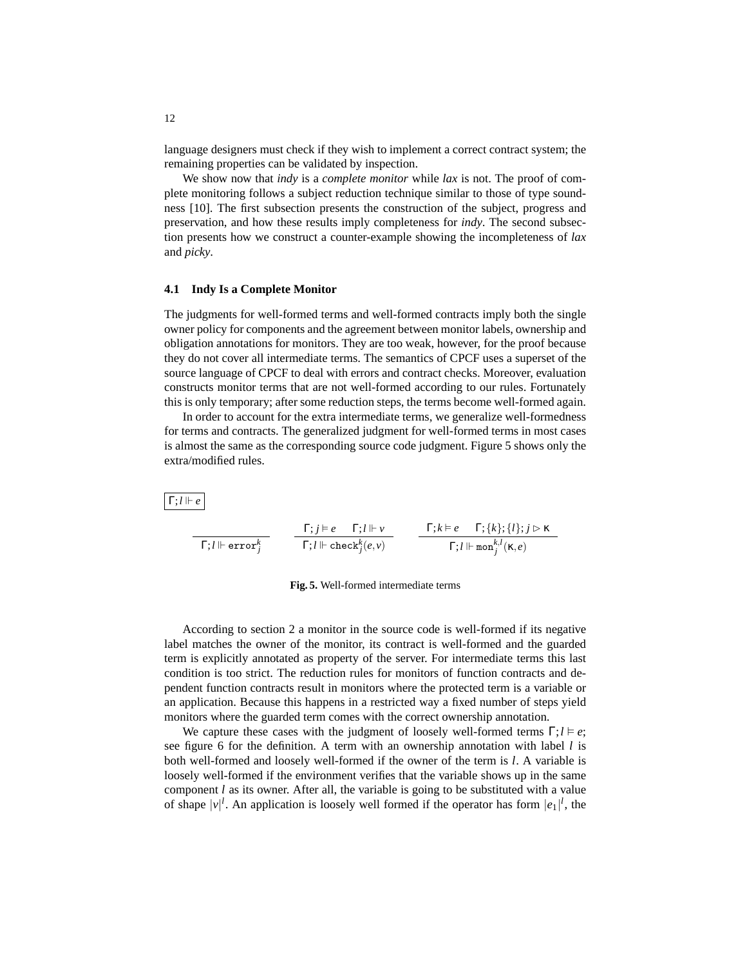language designers must check if they wish to implement a correct contract system; the remaining properties can be validated by inspection.

We show now that *indy* is a *complete monitor* while *lax* is not. The proof of complete monitoring follows a subject reduction technique similar to those of type soundness [10]. The first subsection presents the construction of the subject, progress and preservation, and how these results imply completeness for *indy*. The second subsection presents how we construct a counter-example showing the incompleteness of *lax* and *picky*.

#### **4.1 Indy Is a Complete Monitor**

The judgments for well-formed terms and well-formed contracts imply both the single owner policy for components and the agreement between monitor labels, ownership and obligation annotations for monitors. They are too weak, however, for the proof because they do not cover all intermediate terms. The semantics of CPCF uses a superset of the source language of CPCF to deal with errors and contract checks. Moreover, evaluation constructs monitor terms that are not well-formed according to our rules. Fortunately this is only temporary; after some reduction steps, the terms become well-formed again.

In order to account for the extra intermediate terms, we generalize well-formedness for terms and contracts. The generalized judgment for well-formed terms in most cases is almost the same as the corresponding source code judgment. Figure 5 shows only the extra/modified rules.

$$
\Gamma; l \Vdash e
$$

$$
\frac{\Gamma; j \vDash e \quad \Gamma; l \Vdash v}{\Gamma; l \Vdash \text{error}^k_j} \qquad \frac{\Gamma; j \vDash e \quad \Gamma; l \Vdash v}{\Gamma; l \Vdash \text{check}^k_j(e, v)} \qquad \frac{\Gamma; k \vDash e \quad \Gamma; \{k\}; \{l\}; j \rhd \kappa}{\Gamma; l \Vdash \text{mon}^{k,l}_j(\kappa, e)}
$$

#### **Fig. 5.** Well-formed intermediate terms

According to section 2 a monitor in the source code is well-formed if its negative label matches the owner of the monitor, its contract is well-formed and the guarded term is explicitly annotated as property of the server. For intermediate terms this last condition is too strict. The reduction rules for monitors of function contracts and dependent function contracts result in monitors where the protected term is a variable or an application. Because this happens in a restricted way a fixed number of steps yield monitors where the guarded term comes with the correct ownership annotation.

We capture these cases with the judgment of loosely well-formed terms  $\Gamma$ ;  $l \vDash e$ ; see figure 6 for the definition. A term with an ownership annotation with label *l* is both well-formed and loosely well-formed if the owner of the term is *l*. A variable is loosely well-formed if the environment verifies that the variable shows up in the same component *l* as its owner. After all, the variable is going to be substituted with a value of shape  $|v|^l$ . An application is loosely well formed if the operator has form  $|e_1|^l$ , the

12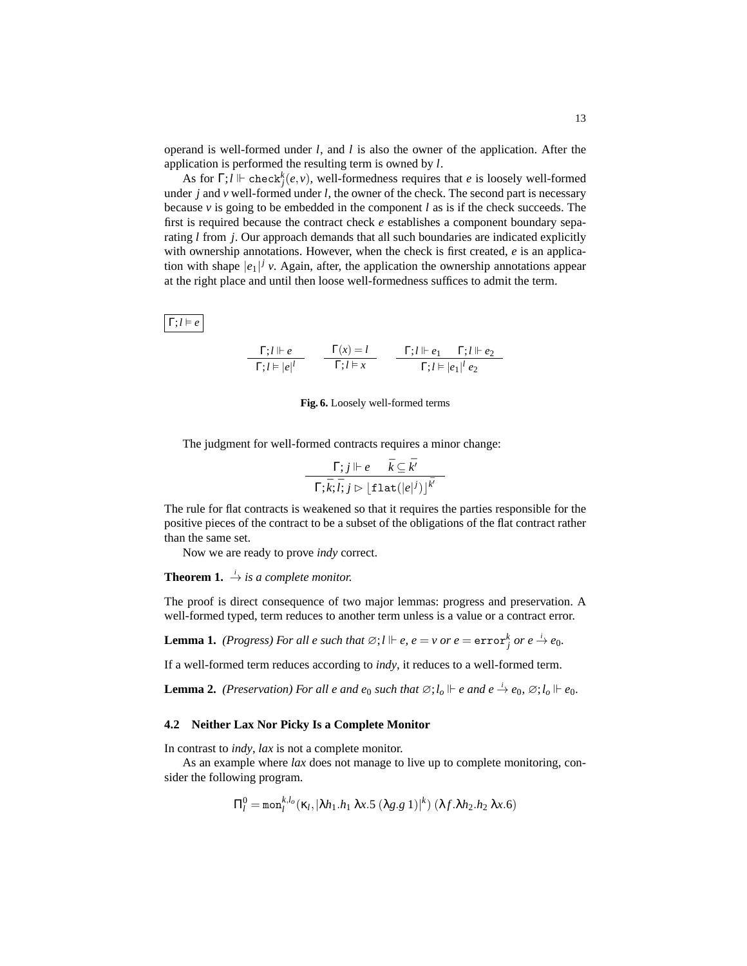operand is well-formed under *l*, and *l* is also the owner of the application. After the application is performed the resulting term is owned by *l*.

As for  $\Gamma; l \Vdash \text{check}_j^k(e, v)$ , well-formedness requires that *e* is loosely well-formed under *j* and *v* well-formed under *l*, the owner of the check. The second part is necessary because *v* is going to be embedded in the component *l* as is if the check succeeds. The first is required because the contract check *e* establishes a component boundary separating *l* from *j*. Our approach demands that all such boundaries are indicated explicitly with ownership annotations. However, when the check is first created, *e* is an application with shape  $|e_1|^j v$ . Again, after, the application the ownership annotations appear at the right place and until then loose well-formedness suffices to admit the term.

 $Γ; l \models e$ 

$$
\frac{\Gamma; l \Vdash e}{\Gamma; l \vDash |e|} \qquad \frac{\Gamma(x) = l}{\Gamma; l \vDash x} \qquad \frac{\Gamma; l \Vdash e_1 \qquad \Gamma; l \Vdash e_2}{\Gamma; l \vDash |e_1|^l e_2}
$$

#### **Fig. 6.** Loosely well-formed terms

The judgment for well-formed contracts requires a minor change:

$$
\frac{\Gamma; j \Vdash e \quad \bar{k} \subseteq \bar{k'}}{\Gamma; \bar{k}; \bar{l}; j \rhd \lfloor \mathtt{flat}(|e|^{j}) \rfloor^{\bar{k}'}}
$$

The rule for flat contracts is weakened so that it requires the parties responsible for the positive pieces of the contract to be a subset of the obligations of the flat contract rather than the same set.

Now we are ready to prove *indy* correct.

## **Theorem 1.**  $\stackrel{i}{\rightarrow}$  *is a complete monitor.*

The proof is direct consequence of two major lemmas: progress and preservation. A well-formed typed, term reduces to another term unless is a value or a contract error.

**Lemma 1.** *(Progress) For all*  $e$  *such that*  $\varnothing; l \Vdash e$ ,  $e = v$  *or*  $e = \texttt{error}_j^k$  *or*  $e \stackrel{i}{\rightarrow} e_0$ *.* 

If a well-formed term reduces according to *indy*, it reduces to a well-formed term.

**Lemma 2.** *(Preservation) For all e and e*<sub>0</sub> *such that*  $\emptyset$ ; $l_o \Vdash e$  *and*  $e \stackrel{i}{\rightarrow} e_0$ ,  $\emptyset$ ; $l_o \Vdash e_0$ .

#### **4.2 Neither Lax Nor Picky Is a Complete Monitor**

In contrast to *indy*, *lax* is not a complete monitor.

As an example where *lax* does not manage to live up to complete monitoring, consider the following program.

$$
\Pi_l^0 = \text{mon}_l^{k,l_o}(\kappa_l, |\lambda h_1.h_1 \lambda x.5 (\lambda g. g 1)|^k) (\lambda f. \lambda h_2.h_2 \lambda x.6)
$$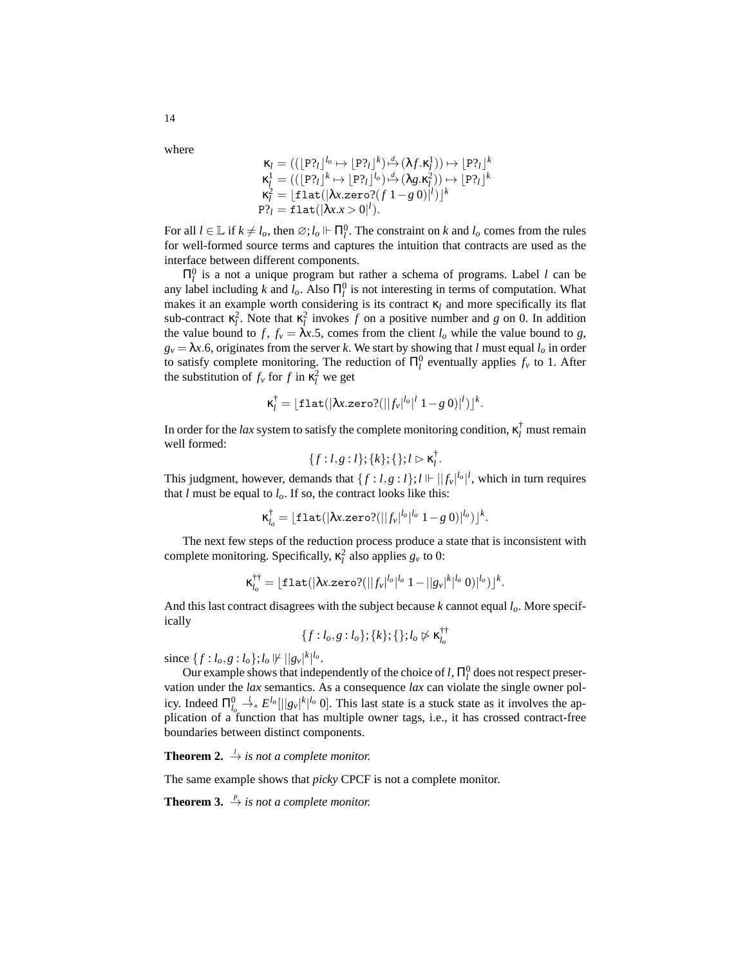where

$$
\kappa_l = ((\lfloor P?_l \rfloor^{l_o} \mapsto \lfloor P?_l \rfloor^k) \xrightarrow{d} (\lambda f \cdot \kappa_l^1)) \mapsto \lfloor P?_l \rfloor^k
$$
\n
$$
\kappa_l^1 = ((\lfloor P?_l \rfloor^k \mapsto \lfloor P?_l \rfloor^{l_o}) \xrightarrow{d} (\lambda g \cdot \kappa_l^2)) \mapsto \lfloor P?_l \rfloor^k
$$
\n
$$
\kappa_l^2 = \lfloor \texttt{flat}(|\lambda x. z \text{ero?}(f \cdot l - g \cdot 0)|^l) \rfloor^k
$$
\n
$$
P?_l = \texttt{flat}(|\lambda x. x > 0|^l).
$$

For all  $l \in \mathbb{L}$  if  $k \neq l_o$ , then  $\emptyset; l_o \Vdash \Pi_l^0$ . The constraint on *k* and  $l_o$  comes from the rules for well-formed source terms and captures the intuition that contracts are used as the interface between different components.

 $\Pi_l^0$  is a not a unique program but rather a schema of programs. Label *l* can be any label including *k* and  $l_o$ . Also  $\Pi_l^0$  is not interesting in terms of computation. What makes it an example worth considering is its contract  $\kappa_l$  and more specifically its flat sub-contract  $\kappa_l^2$ . Note that  $\kappa_l^2$  invokes *f* on a positive number and *g* on 0. In addition the value bound to *f*,  $f_v = \lambda x.5$ , comes from the client  $l_o$  while the value bound to *g*,  $g_y = \lambda x.6$ , originates from the server *k*. We start by showing that *l* must equal  $l_o$  in order to satisfy complete monitoring. The reduction of  $\Pi_l^0$  eventually applies  $f_v$  to 1. After the substitution of  $f_v$  for  $f$  in  $\kappa_l^2$  we get

$$
\kappa_l^{\dagger} = \lfloor \texttt{flat}(|\lambda x.\texttt{zero?}(||f_v|^{l_o}|^{l} 1 - g 0)|^{l}) \rfloor^{k}.
$$

In order for the *lax* system to satisfy the complete monitoring condition,  $\kappa_l^{\dagger}$  must remain well formed:

$$
\{f: l,g: l\}; \{k\}; \{\}; l \triangleright \kappa_l^{\dagger}.
$$

This judgment, however, demands that  $\{f : l, g : l\}; l \Vdash |f_{\nu}|^{l_o}$ , which in turn requires that  $l$  must be equal to  $l<sub>o</sub>$ . If so, the contract looks like this:

$$
\kappa_{l_o}^{\dagger} = \lfloor \texttt{flat}(|\lambda x.\texttt{zero?}(||f_v|^{l_o}|^{l_o} 1 - g 0)|^{l_o}) \rfloor^k.
$$

The next few steps of the reduction process produce a state that is inconsistent with complete monitoring. Specifically,  $\kappa_l^2$  also applies  $g_\nu$  to 0:

$$
\mathbf{\kappa}_{l_o}^{\dagger\dagger}=[\mathtt{flat}(|\lambda\mathbf{x}.\mathtt{zero} ?(||f_v|^{l_o}|^{l_o} 1-||g_v|^k|^{l_o} 0)|^{l_o})]^k.
$$

And this last contract disagrees with the subject because *k* cannot equal *lo*. More specifically

$$
\{f: l_o, g: l_o\}; \{k\}; \{\}; l_o \not\triangleright \kappa_{l_o}^{\dagger\dagger}
$$

since  $\{f : l_o, g : l_o\}; l_o \not\vdash ||g_v|^k|^{l_o}.$ 

Our example shows that independently of the choice of  $l$ ,  $\Pi_l^0$  does not respect preservation under the *lax* semantics. As a consequence *lax* can violate the single owner policy. Indeed  $\Pi_{l_o}^0 \rightarrow E^{l_o} [||g_v|^k]^{l_o}$  0]. This last state is a stuck state as it involves the application of a function that has multiple owner tags, i.e., it has crossed contract-free boundaries between distinct components.

## **Theorem 2.**  $\stackrel{l}{\rightarrow}$  *is not a complete monitor.*

The same example shows that *picky* CPCF is not a complete monitor.

**Theorem 3.**  $\stackrel{p}{\rightarrow}$  *is not a complete monitor.*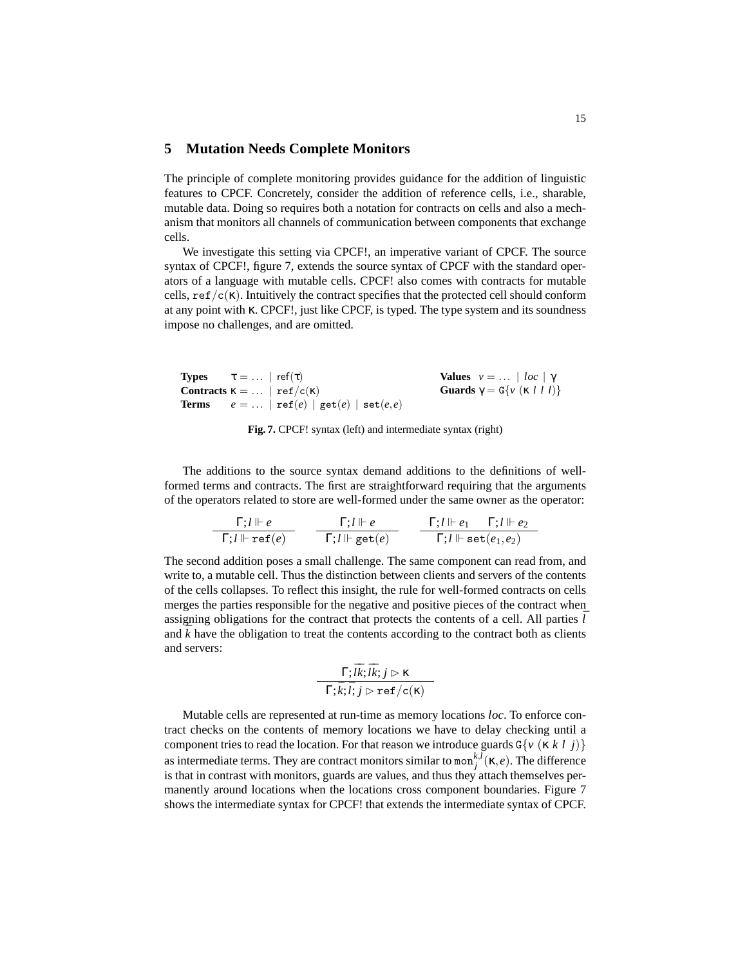## **5 Mutation Needs Complete Monitors**

The principle of complete monitoring provides guidance for the addition of linguistic features to CPCF. Concretely, consider the addition of reference cells, i.e., sharable, mutable data. Doing so requires both a notation for contracts on cells and also a mechanism that monitors all channels of communication between components that exchange cells.

We investigate this setting via CPCF!, an imperative variant of CPCF. The source syntax of CPCF!, figure 7, extends the source syntax of CPCF with the standard operators of a language with mutable cells. CPCF! also comes with contracts for mutable cells,  $\text{ref}/c(\kappa)$ . Intuitively the contract specifies that the protected cell should conform at any point with κ. CPCF!, just like CPCF, is typed. The type system and its soundness impose no challenges, and are omitted.

**Types**  $\tau = \ldots$  | ref $(\tau)$ **Contracts**  $\kappa = ... \mid \text{ref}/c(\kappa)$ **Terms**  $e = \ldots$  |  $\text{ref}(e)$  |  $\text{get}(e)$  |  $\text{set}(e, e)$ **Values**  $v = \ldots \mid loc \mid \gamma$ Guards  $\gamma = G\{v \in l \mid l \}$ 

Fig. 7. CPCF! syntax (left) and intermediate syntax (right)

The additions to the source syntax demand additions to the definitions of wellformed terms and contracts. The first are straightforward requiring that the arguments of the operators related to store are well-formed under the same owner as the operator:

| $\Gamma$ ; $l \Vdash e$            | $\Gamma$ : $l \Vdash e$               | $\Gamma: l \Vdash e_1$                   | $\Gamma$ : $l \Vdash e_2$ |
|------------------------------------|---------------------------------------|------------------------------------------|---------------------------|
| $\Gamma; l \Vdash \mathtt{ref}(e)$ | $\Gamma$ ; $l \Vdash \mathtt{get}(e)$ | $\Gamma; l \Vdash \mathtt{set}(e_1,e_2)$ |                           |

The second addition poses a small challenge. The same component can read from, and write to, a mutable cell. Thus the distinction between clients and servers of the contents of the cells collapses. To reflect this insight, the rule for well-formed contracts on cells merges the parties responsible for the negative and positive pieces of the contract when assigning obligations for the contract that protects the contents of a cell. All parties  $\overline{l}$ and  $k$  have the obligation to treat the contents according to the contract both as clients and servers:

$$
\frac{\Gamma; \overline{lk}; \overline{lk}; j \rhd \kappa}{\Gamma; \overline{k}; \overline{l}; j \rhd \text{ref/c}(\kappa)}
$$

Mutable cells are represented at run-time as memory locations *loc*. To enforce contract checks on the contents of memory locations we have to delay checking until a component tries to read the location. For that reason we introduce guards G{*v* (κ *k l j*)} as intermediate terms. They are contract monitors similar to  $\text{mon}_j^{k,l}(\kappa, e)$ . The difference is that in contrast with monitors, guards are values, and thus they attach themselves permanently around locations when the locations cross component boundaries. Figure 7 shows the intermediate syntax for CPCF! that extends the intermediate syntax of CPCF.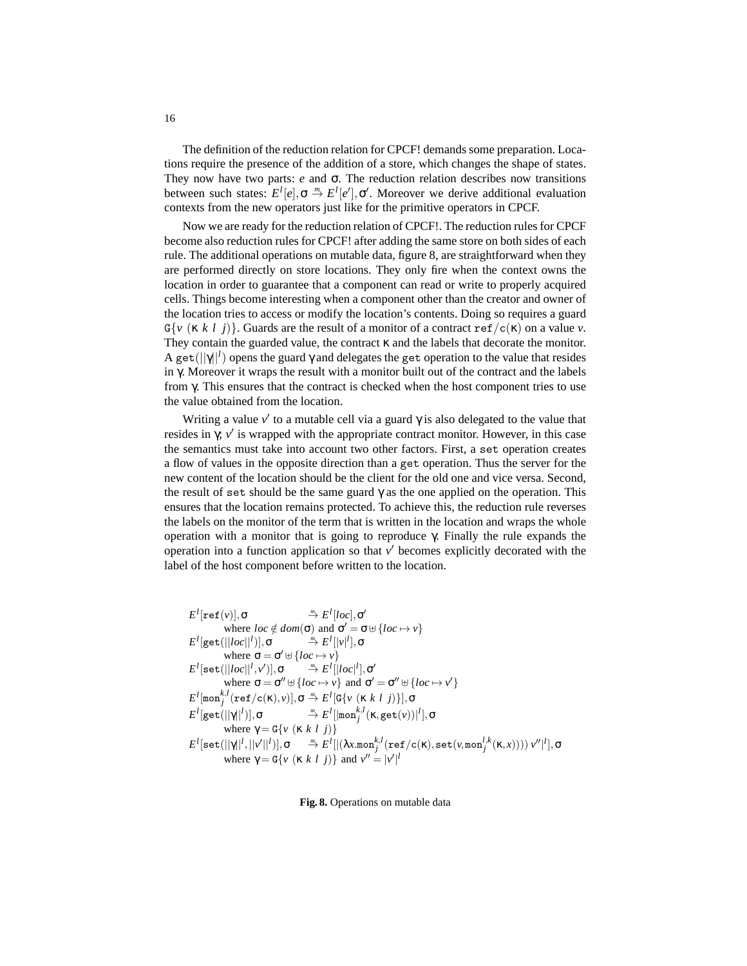The definition of the reduction relation for CPCF! demands some preparation. Locations require the presence of the addition of a store, which changes the shape of states. They now have two parts: *e* and σ. The reduction relation describes now transitions between such states:  $E^{l}[e], \sigma \overset{m}{\rightarrow} E^{l}[e'], \sigma'$ . Moreover we derive additional evaluation contexts from the new operators just like for the primitive operators in CPCF.

Now we are ready for the reduction relation of CPCF!. The reduction rules for CPCF become also reduction rules for CPCF! after adding the same store on both sides of each rule. The additional operations on mutable data, figure 8, are straightforward when they are performed directly on store locations. They only fire when the context owns the location in order to guarantee that a component can read or write to properly acquired cells. Things become interesting when a component other than the creator and owner of the location tries to access or modify the location's contents. Doing so requires a guard  $G\{v \in k \mid i\}$ . Guards are the result of a monitor of a contract ref/c( $\kappa$ ) on a value *v*. They contain the guarded value, the contract  $\kappa$  and the labels that decorate the monitor. A get( $||\gamma||^l$ ) opens the guard  $\gamma$  and delegates the get operation to the value that resides in γ. Moreover it wraps the result with a monitor built out of the contract and the labels from  $\gamma$ . This ensures that the contract is checked when the host component tries to use the value obtained from the location.

Writing a value  $v'$  to a mutable cell via a guard  $\gamma$  is also delegated to the value that resides in  $\gamma$ ;  $v'$  is wrapped with the appropriate contract monitor. However, in this case the semantics must take into account two other factors. First, a set operation creates a flow of values in the opposite direction than a get operation. Thus the server for the new content of the location should be the client for the old one and vice versa. Second, the result of set should be the same guard  $\gamma$  as the one applied on the operation. This ensures that the location remains protected. To achieve this, the reduction rule reverses the labels on the monitor of the term that is written in the location and wraps the whole operation with a monitor that is going to reproduce γ. Finally the rule expands the operation into a function application so that  $v'$  becomes explicitly decorated with the label of the host component before written to the location.

$$
E^{I}[\text{ref}(v)], \sigma \qquad \stackrel{m}{\rightarrow} E^{I}[loc], \sigma'
$$
\nwhere  $loc \notin dom(\sigma)$  and  $\sigma' = \sigma \oplus \{loc \rightarrow v\}$   
\n
$$
E^{I}[\text{get}(||loc||^{I})], \sigma \qquad \stackrel{m}{\rightarrow} E^{I}[|v|^{I}], \sigma
$$
\nwhere  $\sigma = \sigma' \oplus \{loc \rightarrow v\}$   
\n
$$
E^{I}[\text{set}(||loc||^{I}, v^{\prime})], \sigma \qquad \stackrel{m}{\rightarrow} E^{I}[|loc|^{I}], \sigma'
$$
\nwhere  $\sigma = \sigma'' \oplus \{loc \rightarrow v\}$  and  $\sigma' = \sigma'' \oplus \{loc \rightarrow v'\}$   
\n
$$
E^{I}[\text{mon}_{j}^{k,l}(\text{ref}/c(\kappa), v)], \sigma \stackrel{m}{\rightarrow} E^{I}[\text{cf}_{l}v(\kappa k l j)]\}, \sigma
$$
\n
$$
E^{I}[\text{get}(||\gamma||^{I})], \sigma \qquad \stackrel{m}{\rightarrow} E^{I}[\text{mon}_{j}^{k,l}(\kappa, \text{get}(v))]^{I}], \sigma
$$
\nwhere  $\gamma = G\{v(\kappa k l j)\}$   
\n
$$
E^{I}[\text{set}(||\gamma||^{I}, ||v^{\prime}||^{I}), \sigma \stackrel{m}{\rightarrow} E^{I}[(\lambda x.\text{mon}_{j}^{k,l}(\text{ref}/c(\kappa), \text{set}(v,\text{mon}_{j}^{l,k}(\kappa,x)))) v''|^{I}], \sigma
$$
\nwhere  $\gamma = G\{v(\kappa k l j)\}$  and  $v'' = |v'|^{I}$ 

**Fig. 8.** Operations on mutable data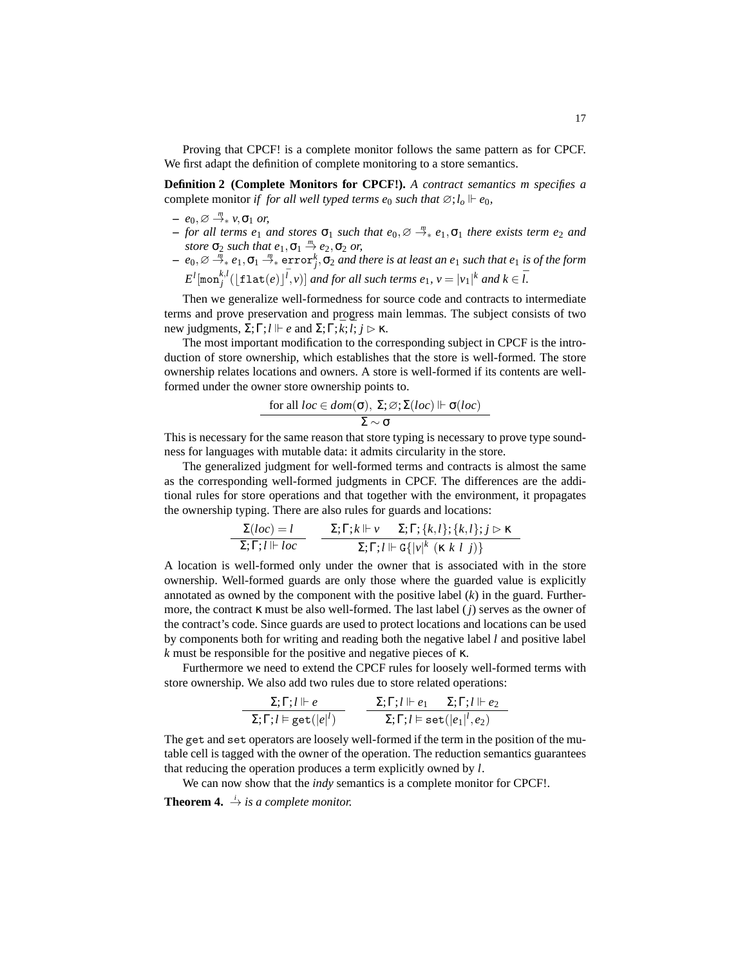Proving that CPCF! is a complete monitor follows the same pattern as for CPCF. We first adapt the definition of complete monitoring to a store semantics.

**Definition 2 (Complete Monitors for CPCF!).** *A contract semantics m specifies a* complete monitor *if for all well typed terms e*<sub>0</sub> *such that*  $\emptyset$ ;  $l_o \Vdash e_0$ ,

- **–** *e*0,∅ →*<sup>m</sup>* <sup>∗</sup> *v*,σ<sup>1</sup> *or,*
- **–** *for all terms e*<sup>1</sup> *and stores* σ<sup>1</sup> *such that e*0,∅ →*<sup>m</sup>* <sup>∗</sup> *e*1,σ<sup>1</sup> *there exists term e*<sup>2</sup> *and store*  $\sigma_2$  *such that*  $e_1, \sigma_1 \stackrel{m}{\rightarrow} e_2, \sigma_2$  *or,*
- **–** *e*0,∅ →*<sup>m</sup>* <sup>∗</sup> *e*1,σ<sup>1</sup> →*<sup>m</sup>* <sup>∗</sup> error*<sup>k</sup> j* ,σ<sup>2</sup> *and there is at least an e*<sup>1</sup> *such that e*<sup>1</sup> *is of the form*  $E^l[\text{mon}_j^{k,l}(\lfloor \texttt{flat}(e) \rfloor^{\bar{l}}, v)]$  *and for all such terms e*<sub>1</sub>,  $v = |v_1|^k$  *and k* ∈  $\bar{l}$ .

Then we generalize well-formedness for source code and contracts to intermediate terms and prove preservation and progress main lemmas. The subject consists of two new judgments,  $\Sigma; \Gamma; l \Vdash e$  and  $\Sigma; \Gamma; \overline{k}; \overline{l}; j \triangleright \kappa$ .

The most important modification to the corresponding subject in CPCF is the introduction of store ownership, which establishes that the store is well-formed. The store ownership relates locations and owners. A store is well-formed if its contents are wellformed under the owner store ownership points to.

$$
\frac{\text{for all } loc \in dom(\sigma), \ \Sigma; \varnothing; \Sigma(loc) \Vdash \sigma(loc)}{\Sigma \sim \sigma}
$$

This is necessary for the same reason that store typing is necessary to prove type soundness for languages with mutable data: it admits circularity in the store.

The generalized judgment for well-formed terms and contracts is almost the same as the corresponding well-formed judgments in CPCF. The differences are the additional rules for store operations and that together with the environment, it propagates the ownership typing. There are also rules for guards and locations:

$$
\frac{\Sigma(loc)=l}{\Sigma;\Gamma;l\Vdash loc}\quad \frac{\Sigma;\Gamma;k\Vdash v\quad \Sigma;\Gamma;\{k,l\};\{k,l\};j\rhd\kappa}{\Sigma;\Gamma;l\Vdash\text{G}\{|\nu|^k\ (\kappa\ k\ l\ j)\}}
$$

A location is well-formed only under the owner that is associated with in the store ownership. Well-formed guards are only those where the guarded value is explicitly annotated as owned by the component with the positive label (*k*) in the guard. Furthermore, the contract κ must be also well-formed. The last label (*j*) serves as the owner of the contract's code. Since guards are used to protect locations and locations can be used by components both for writing and reading both the negative label *l* and positive label *k* must be responsible for the positive and negative pieces of κ.

Furthermore we need to extend the CPCF rules for loosely well-formed terms with store ownership. We also add two rules due to store related operations:

$$
\frac{\Sigma; \Gamma; l \Vdash e}{\Sigma; \Gamma; l \vDash \text{get}(|e|^l)} \qquad \frac{\Sigma; \Gamma; l \Vdash e_1 \qquad \Sigma; \Gamma; l \Vdash e_2}{\Sigma; \Gamma; l \vDash \text{set}(|e_1|^l, e_2)}
$$

The get and set operators are loosely well-formed if the term in the position of the mutable cell is tagged with the owner of the operation. The reduction semantics guarantees that reducing the operation produces a term explicitly owned by *l*.

We can now show that the *indy* semantics is a complete monitor for CPCF!.

**Theorem 4.**  $\stackrel{i}{\rightarrow}$  *is a complete monitor.*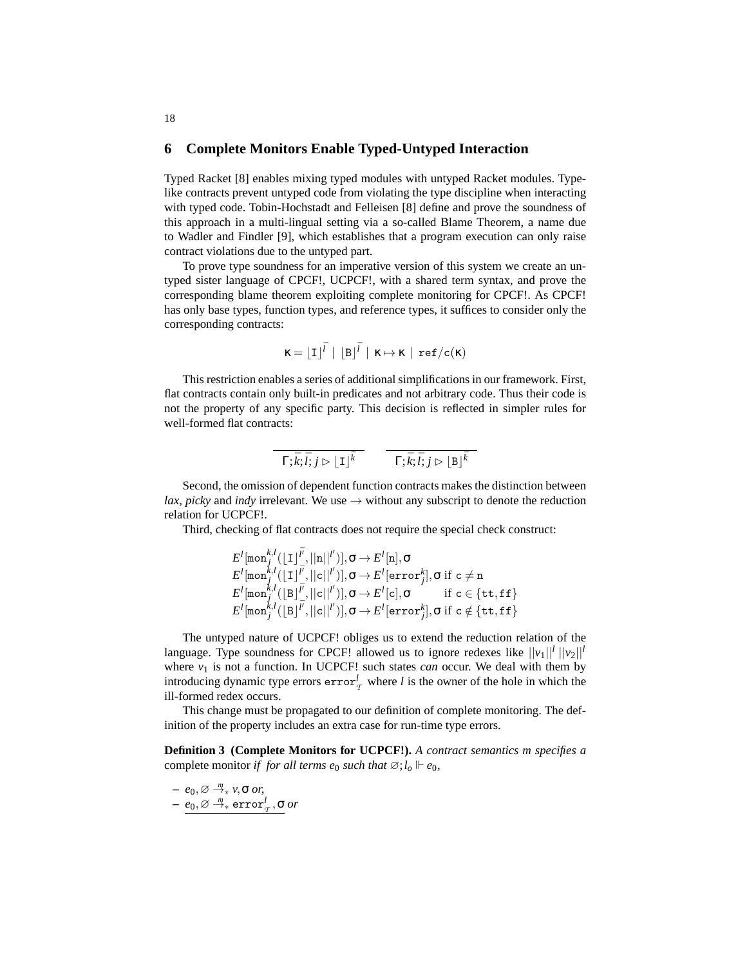## **6 Complete Monitors Enable Typed-Untyped Interaction**

Typed Racket [8] enables mixing typed modules with untyped Racket modules. Typelike contracts prevent untyped code from violating the type discipline when interacting with typed code. Tobin-Hochstadt and Felleisen [8] define and prove the soundness of this approach in a multi-lingual setting via a so-called Blame Theorem, a name due to Wadler and Findler [9], which establishes that a program execution can only raise contract violations due to the untyped part.

To prove type soundness for an imperative version of this system we create an untyped sister language of CPCF!, UCPCF!, with a shared term syntax, and prove the corresponding blame theorem exploiting complete monitoring for CPCF!. As CPCF! has only base types, function types, and reference types, it suffices to consider only the corresponding contracts:

$$
\kappa\,{=}\,\lfloor\mathtt{I}\rfloor^{\bar{l}}\,\mid\,\lfloor\mathtt{B}\rfloor^{\bar{l}}\,\mid\,\kappa\,{\mapsto}\,\kappa\,\mid\,\mathtt{ref/c}(\kappa)
$$

This restriction enables a series of additional simplifications in our framework. First, flat contracts contain only built-in predicates and not arbitrary code. Thus their code is not the property of any specific party. This decision is reflected in simpler rules for well-formed flat contracts:

$$
\overline{\Gamma;\bar{k};\bar{l};j\rhd \lfloor \mathbf{I}\rfloor^{\bar{k}}}\qquad \overline{\Gamma;\bar{k};\bar{l};j\rhd \lfloor \mathbf{B}\rfloor^{\bar{k}}}
$$

Second, the omission of dependent function contracts makes the distinction between *lax, picky* and *indy* irrelevant. We use  $\rightarrow$  without any subscript to denote the reduction relation for UCPCF!.

Third, checking of flat contracts does not require the special check construct:

$$
\begin{array}{l} E^l[\operatorname{mon}_j^{k,l}(\lfloor 1 \rfloor^{\bar{l}^j},||\mathbf{n}||^{l^{\prime}})], \sigma\rightarrow E^l[\mathbf{n}],\sigma \\ E^l[\operatorname{mon}_j^{k,l}(\lfloor 1 \rfloor^{\bar{l}^j},||\mathbf{c}||^{l^{\prime}})], \sigma\rightarrow E^l[\texttt{error}_j^k], \sigma \text{ if } \mathbf{c}\neq \mathbf{n} \\ E^l[\operatorname{mon}_j^{k,l}(\lfloor \mathbf{B} \rfloor^{\bar{l}^j},||\mathbf{c}||^{l^{\prime}})], \sigma\rightarrow E^l[\mathbf{c}], \sigma \qquad \text{ if } \mathbf{c}\in\{\texttt{tt},\texttt{ff}\} \\ E^l[\operatorname{mon}_{j}^{k,l}(\lfloor \mathbf{B} \rfloor^{\bar{l}^j},||\mathbf{c}||^{l^{\prime}})], \sigma\rightarrow E^l[\texttt{error}_j^k], \sigma \text{ if } \mathbf{c}\notin\{\texttt{tt},\texttt{ff}\} \end{array}
$$

The untyped nature of UCPCF! obliges us to extend the reduction relation of the language. Type soundness for CPCF! allowed us to ignore redexes like  $||v_1||^l ||v_2||^l$ where  $v_1$  is not a function. In UCPCF! such states *can* occur. We deal with them by introducing dynamic type errors  $error_{\tau}^l$  where *l* is the owner of the hole in which the ill-formed redex occurs.

This change must be propagated to our definition of complete monitoring. The definition of the property includes an extra case for run-time type errors.

**Definition 3 (Complete Monitors for UCPCF!).** *A contract semantics m specifies a* complete monitor *if for all terms e*<sub>0</sub> *such that*  $\emptyset$ ;  $l_o \Vdash e_0$ ,

$$
- e_0 \otimes \overset{m}{\rightarrow} v, \sigma \text{ or,}
$$
  

$$
- e_0 \otimes \overset{m}{\rightarrow} \text{error}_{\tau}^l, \sigma \text{ or}
$$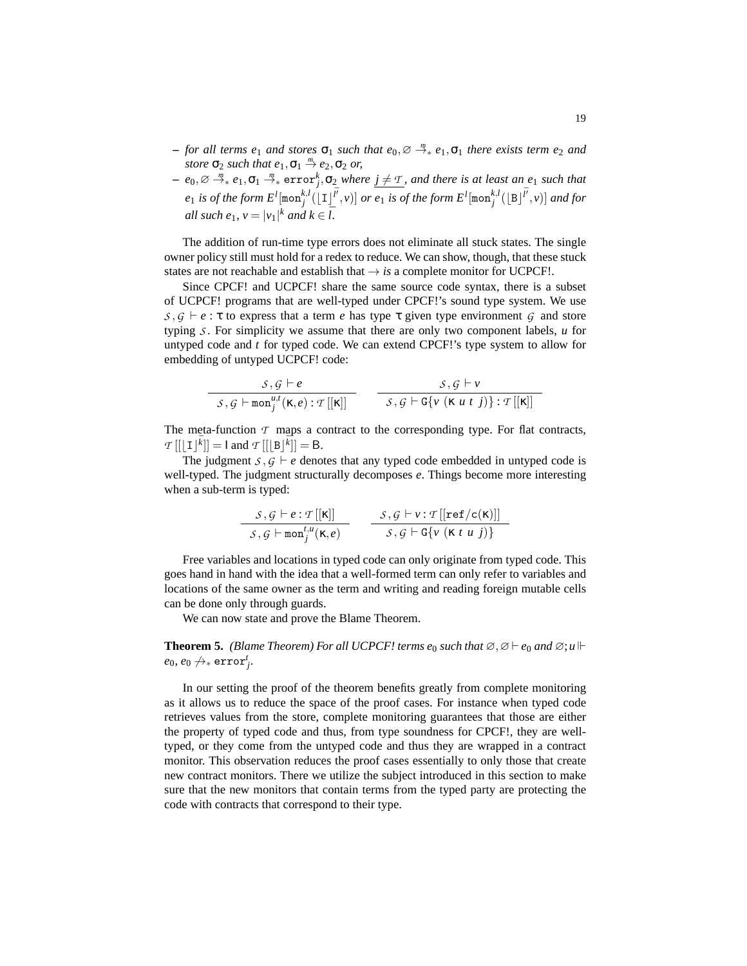- $-$  *for all terms e*<sub>1</sub> *and stores*  $\sigma$ <sub>1</sub> *such that e*<sub>0</sub>, $\varnothing \stackrel{m}{\rightarrow} e_1$ , $\sigma$ <sub>1</sub> *there exists term e*<sub>2</sub> *and store*  $\sigma_2$  *such that*  $e_1, \sigma_1 \stackrel{m}{\rightarrow} e_2, \sigma_2$  *or,*
- $e_0, \varnothing$  → $*$   $e_1, \sigma_1$  → $*$   $*$   $\sigma_1$   $\sigma_2$  *where*  $\underline{j \neq T}$ *, and there is at least an*  $e_1$  *such that*  $e_1$  is of the form  $E^l[\text{\tt mon}_j^{k,l}(\lfloor 1]^{\bar l'},v)]$  or  $e_1$  is of the form  $E^l[\text{\tt mon}_j^{k,l}(\lfloor \texttt{B} \rfloor^{\bar l'},v)]$  and for *all such e*<sub>1</sub>,  $v = |v_1|^k$  *and*  $k \in \overline{I}$ .

The addition of run-time type errors does not eliminate all stuck states. The single owner policy still must hold for a redex to reduce. We can show, though, that these stuck states are not reachable and establish that  $\rightarrow$  *is* a complete monitor for UCPCF!.

Since CPCF! and UCPCF! share the same source code syntax, there is a subset of UCPCF! programs that are well-typed under CPCF!'s sound type system. We use  $S, G \vdash e : \tau$  to express that a term *e* has type  $\tau$  given type environment *G* and store typing *S*. For simplicity we assume that there are only two component labels, *u* for untyped code and *t* for typed code. We can extend CPCF!'s type system to allow for embedding of untyped UCPCF! code:

$$
\frac{S, G \vdash e}{S, G \vdash \text{mon}_{j}^{u,t}(\mathbf{k}, e) : \mathcal{T}[[\mathbf{k}]]}
$$
\n
$$
\frac{S, G \vdash v}{S, G \vdash \text{G}\{v(\mathbf{k} u t j)\} : \mathcal{T}[[\mathbf{k}]]}
$$

The meta-function  $\tau$  maps a contract to the corresponding type. For flat contracts,  $\mathcal{T}[[\lfloor \mathbf{I} \rfloor^{\bar{k}}]] = \mathsf{I}$  and  $\mathcal{T}[[\lfloor \mathbf{B} \rfloor^{\bar{k}}]] = \mathsf{B}.$ 

The judgment *S*,  $G \vdash e$  denotes that any typed code embedded in untyped code is well-typed. The judgment structurally decomposes *e*. Things become more interesting when a sub-term is typed:

$$
\frac{S, G \vdash e : T[[\kappa]]}{S, G \vdash \text{mon}_j^{t,u}(\kappa, e)} \qquad \frac{S, G \vdash v : T[[\text{ref}/c(\kappa)]]}{S, G \vdash G\{v (\kappa t u j)\}}
$$

Free variables and locations in typed code can only originate from typed code. This goes hand in hand with the idea that a well-formed term can only refer to variables and locations of the same owner as the term and writing and reading foreign mutable cells can be done only through guards.

We can now state and prove the Blame Theorem.

**Theorem 5.** *(Blame Theorem) For all UCPCF! terms*  $e_0$  *such that*  $\emptyset$ ,  $\emptyset \vdash e_0$  *and*  $\emptyset$ ;  $u \Vdash$  $e_0$ *,*  $e_0 \not\rightarrow_* \text{error}_j^t$ *.* 

In our setting the proof of the theorem benefits greatly from complete monitoring as it allows us to reduce the space of the proof cases. For instance when typed code retrieves values from the store, complete monitoring guarantees that those are either the property of typed code and thus, from type soundness for CPCF!, they are welltyped, or they come from the untyped code and thus they are wrapped in a contract monitor. This observation reduces the proof cases essentially to only those that create new contract monitors. There we utilize the subject introduced in this section to make sure that the new monitors that contain terms from the typed party are protecting the code with contracts that correspond to their type.